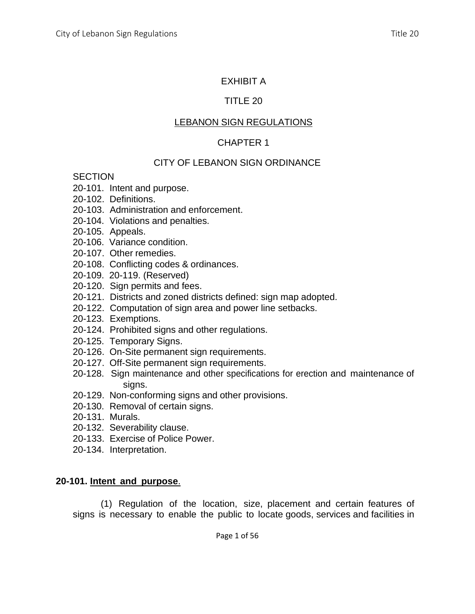## EXHIBIT A

## TITLE 20

## LEBANON SIGN REGULATIONS

## CHAPTER 1

## CITY OF LEBANON SIGN ORDINANCE

#### **SECTION**

- 20-101. Intent and purpose.
- 20-102. Definitions.
- 20-103. Administration and enforcement.
- 20-104. Violations and penalties.
- 20-105. Appeals.
- 20-106. Variance condition.
- 20-107. Other remedies.
- 20-108. Conflicting codes & ordinances.
- 20-109. 20-119. (Reserved)
- 20-120. Sign permits and fees.
- 20-121. Districts and zoned districts defined: sign map adopted.
- 20-122. Computation of sign area and power line setbacks.
- 20-123. Exemptions.
- 20-124. Prohibited signs and other regulations.
- 20-125. Temporary Signs.
- 20-126. On-Site permanent sign requirements.
- 20-127. Off-Site permanent sign requirements.
- 20-128. Sign maintenance and other specifications for erection and maintenance of sians.
- 20-129. Non-conforming signs and other provisions.
- 20-130. Removal of certain signs.
- 20-131. Murals.
- 20-132. Severability clause.
- 20-133. Exercise of Police Power.
- 20-134. Interpretation.

## **20-101. Intent and purpose**.

(1) Regulation of the location, size, placement and certain features of signs is necessary to enable the public to locate goods, services and facilities in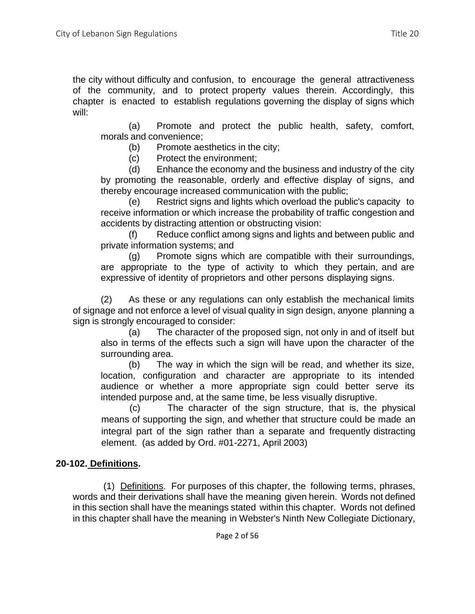(a) Promote and protect the public health, safety, comfort, morals and convenience;

(b) Promote aesthetics in the city;

(c) Protect the environment;

(d) Enhance the economy and the business and industry of the city by promoting the reasonable, orderly and effective display of signs, and thereby encourage increased communication with the public;

(e) Restrict signs and lights which overload the public's capacity to receive information or which increase the probability of traffic congestion and accidents by distracting attention or obstructing vision:

(f) Reduce conflict among signs and lights and between public and private information systems; and

(g) Promote signs which are compatible with their surroundings, are appropriate to the type of activity to which they pertain, and are expressive of identity of proprietors and other persons displaying signs.

(2) As these or any regulations can only establish the mechanical limits of signage and not enforce a level of visual quality in sign design, anyone planning a sign is strongly encouraged to consider:

(a) The character of the proposed sign, not only in and of itself but also in terms of the effects such a sign will have upon the character of the surrounding area.

(b) The way in which the sign will be read, and whether its size, location, configuration and character are appropriate to its intended audience or whether a more appropriate sign could better serve its intended purpose and, at the same time, be less visually disruptive.

(c) The character of the sign structure, that is, the physical means of supporting the sign, and whether that structure could be made an integral part of the sign rather than a separate and frequently distracting element. (as added by Ord. #01-2271, April 2003)

# **20-102. Definitions.**

(1) Definitions. For purposes of this chapter, the following terms, phrases, words and their derivations shall have the meaning given herein. Words not defined in this section shall have the meanings stated within this chapter. Words not defined in this chapter shall have the meaning in Webster's Ninth New Collegiate Dictionary,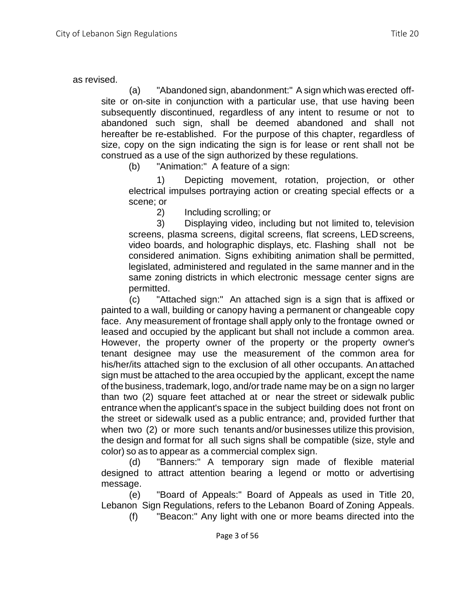#### as revised.

(a) "Abandoned sign, abandonment:" A sign which was erected offsite or on-site in conjunction with a particular use, that use having been subsequently discontinued, regardless of any intent to resume or not to abandoned such sign, shall be deemed abandoned and shall not hereafter be re-established. For the purpose of this chapter, regardless of size, copy on the sign indicating the sign is for lease or rent shall not be construed as a use of the sign authorized by these regulations.

(b) "Animation:" A feature of a sign:

1) Depicting movement, rotation, projection, or other electrical impulses portraying action or creating special effects or a scene; or

2) Including scrolling; or

3) Displaying video, including but not limited to, television screens, plasma screens, digital screens, flat screens, LEDscreens, video boards, and holographic displays, etc. Flashing shall not be considered animation. Signs exhibiting animation shall be permitted, legislated, administered and regulated in the same manner and in the same zoning districts in which electronic message center signs are permitted.

(c) "Attached sign:" An attached sign is a sign that is affixed or painted to a wall, building or canopy having a permanent or changeable copy face. Any measurement of frontage shall apply only to the frontage owned or leased and occupied by the applicant but shall not include a common area. However, the property owner of the property or the property owner's tenant designee may use the measurement of the common area for his/her/its attached sign to the exclusion of all other occupants. An attached sign must be attached to the area occupied by the applicant, except the name of the business, trademark, logo, and/ortrade name may be on a sign no larger than two (2) square feet attached at or near the street or sidewalk public entrance when the applicant's space in the subject building does not front on the street or sidewalk used as a public entrance; and, provided further that when two (2) or more such tenants and/or businesses utilize this provision, the design and format for all such signs shall be compatible (size, style and color) so as to appear as a commercial complex sign.

(d) "Banners:" A temporary sign made of flexible material designed to attract attention bearing a legend or motto or advertising message.

(e) "Board of Appeals:" Board of Appeals as used in Title 20, Lebanon Sign Regulations, refers to the Lebanon Board of Zoning Appeals.

(f) "Beacon:" Any light with one or more beams directed into the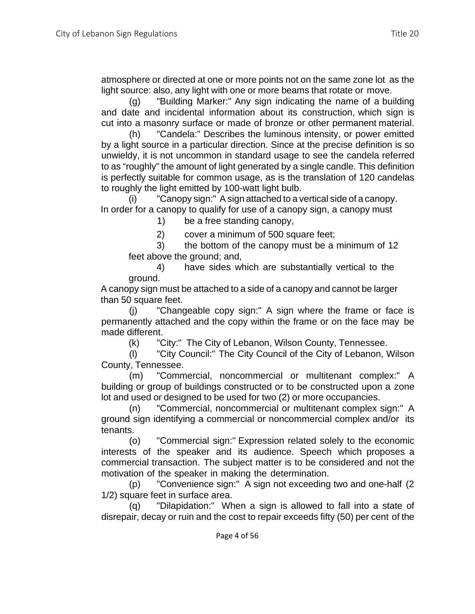atmosphere or directed at one or more points not on the same zone lot as the light source: also, any light with one or more beams that rotate or move.

(g) "Building Marker:" Any sign indicating the name of a building and date and incidental information about its construction, which sign is cut into a masonry surface or made of bronze or other permanent material.

(h) "Candela:" Describes the luminous intensity, or power emitted by a light source in a particular direction. Since at the precise definition is so unwieldy, it is not uncommon in standard usage to see the candela referred to as "roughly" the amount of light generated by a single candle. This definition is perfectly suitable for common usage, as is the translation of 120 candelas to roughly the light emitted by 100-watt light bulb.

(i) "Canopy sign:" A sign attached to a vertical side of a canopy. In order for a canopy to qualify for use of a canopy sign, a canopy must

1) be a free standing canopy,

2) cover a minimum of 500 square feet;

3) the bottom of the canopy must be a minimum of 12 feet above the ground; and,

4) have sides which are substantially vertical to the ground.

A canopy sign must be attached to a side of a canopy and cannot be larger than 50 square feet.

(j) "Changeable copy sign:" A sign where the frame or face is permanently attached and the copy within the frame or on the face may be made different.

(k) "City:" The City of Lebanon, Wilson County, Tennessee.

(l) "City Council:" The City Council of the City of Lebanon, Wilson County, Tennessee.

(m) "Commercial, noncommercial or multitenant complex:" A building or group of buildings constructed or to be constructed upon a zone lot and used or designed to be used for two (2) or more occupancies.

(n) "Commercial, noncommercial or multitenant complex sign:" A ground sign identifying a commercial or noncommercial complex and/or its tenants.

(o) "Commercial sign:" Expression related solely to the economic interests of the speaker and its audience. Speech which proposes a commercial transaction. The subject matter is to be considered and not the motivation of the speaker in making the determination.

(p) "Convenience sign:" A sign not exceeding two and one-half (2 1/2) square feet in surface area.

(q) "Dilapidation:" When a sign is allowed to fall into a state of disrepair, decay or ruin and the cost to repair exceeds fifty (50) per cent of the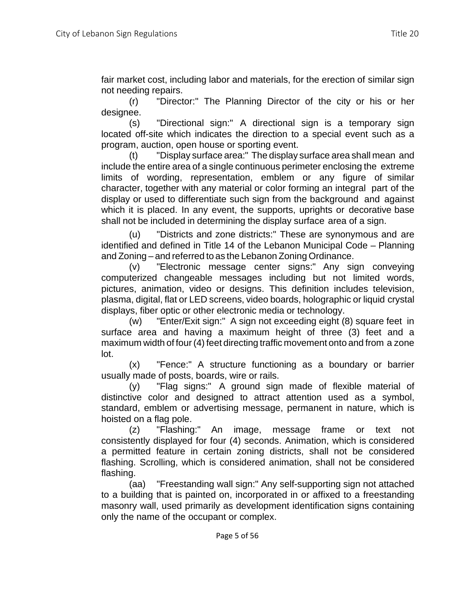fair market cost, including labor and materials, for the erection of similar sign not needing repairs.

(r) "Director:" The Planning Director of the city or his or her designee.

(s) "Directional sign:" A directional sign is a temporary sign located off-site which indicates the direction to a special event such as a program, auction, open house or sporting event.

(t) "Display surface area:" The display surface area shall mean and include the entire area of a single continuous perimeter enclosing the extreme limits of wording, representation, emblem or any figure of similar character, together with any material or color forming an integral part of the display or used to differentiate such sign from the background and against which it is placed. In any event, the supports, uprights or decorative base shall not be included in determining the display surface area of a sign.

(u) "Districts and zone districts:" These are synonymous and are identified and defined in Title 14 of the Lebanon Municipal Code – Planning and Zoning – and referred to as the Lebanon Zoning Ordinance.

(v) "Electronic message center signs:" Any sign conveying computerized changeable messages including but not limited words, pictures, animation, video or designs. This definition includes television, plasma, digital, flat or LED screens, video boards, holographic or liquid crystal displays, fiber optic or other electronic media or technology.

(w) "Enter/Exit sign:" A sign not exceeding eight (8) square feet in surface area and having a maximum height of three (3) feet and a maximum width of four (4) feet directing traffic movement onto and from a zone lot.

(x) "Fence:" A structure functioning as a boundary or barrier usually made of posts, boards, wire or rails.

(y) "Flag signs:" A ground sign made of flexible material of distinctive color and designed to attract attention used as a symbol, standard, emblem or advertising message, permanent in nature, which is hoisted on a flag pole.

(z) "Flashing:" An image, message frame or text not consistently displayed for four (4) seconds. Animation, which is considered a permitted feature in certain zoning districts, shall not be considered flashing. Scrolling, which is considered animation, shall not be considered flashing.

(aa) "Freestanding wall sign:" Any self-supporting sign not attached to a building that is painted on, incorporated in or affixed to a freestanding masonry wall, used primarily as development identification signs containing only the name of the occupant or complex.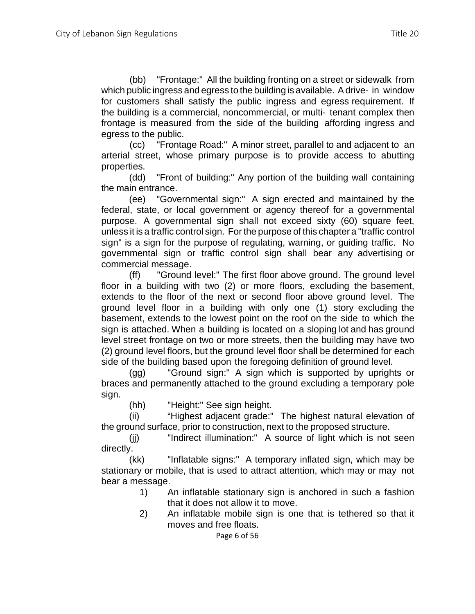(bb) "Frontage:" All the building fronting on a street or sidewalk from which public ingress and egress to the building is available. Adrive- in window for customers shall satisfy the public ingress and egress requirement. If the building is a commercial, noncommercial, or multi- tenant complex then frontage is measured from the side of the building affording ingress and egress to the public.

(cc) "Frontage Road:" A minor street, parallel to and adjacent to an arterial street, whose primary purpose is to provide access to abutting properties.

(dd) "Front of building:" Any portion of the building wall containing the main entrance.

(ee) "Governmental sign:" A sign erected and maintained by the federal, state, or local government or agency thereof for a governmental purpose. A governmental sign shall not exceed sixty (60) square feet, unless it is a traffic control sign. For the purpose of this chapter a "traffic control sign" is a sign for the purpose of regulating, warning, or guiding traffic. No governmental sign or traffic control sign shall bear any advertising or commercial message.

(ff) "Ground level:" The first floor above ground. The ground level floor in a building with two (2) or more floors, excluding the basement, extends to the floor of the next or second floor above ground level. The ground level floor in a building with only one (1) story excluding the basement, extends to the lowest point on the roof on the side to which the sign is attached. When a building is located on a sloping lot and has ground level street frontage on two or more streets, then the building may have two (2) ground level floors, but the ground level floor shall be determined for each side of the building based upon the foregoing definition of ground level.

(gg) "Ground sign:" A sign which is supported by uprights or braces and permanently attached to the ground excluding a temporary pole sign.

(hh) "Height:" See sign height.

(ii) "Highest adjacent grade:" The highest natural elevation of the ground surface, prior to construction, next to the proposed structure.

(jj) "Indirect illumination:" A source of light which is not seen directly.

(kk) "Inflatable signs:" A temporary inflated sign, which may be stationary or mobile, that is used to attract attention, which may or may not bear a message.

- 1) An inflatable stationary sign is anchored in such a fashion that it does not allow it to move.
- 2) An inflatable mobile sign is one that is tethered so that it moves and free floats.

Page 6 of 56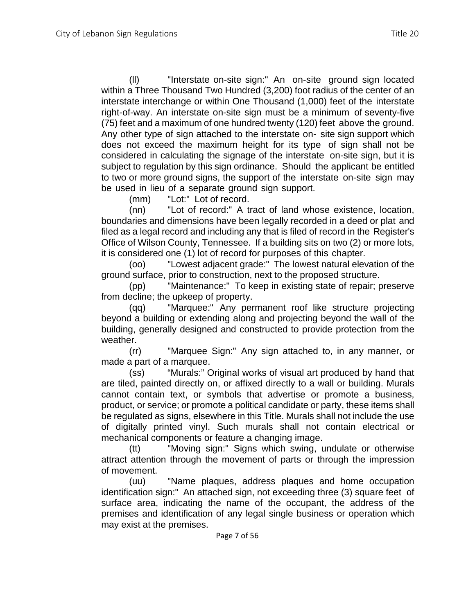(ll) "Interstate on-site sign:" An on-site ground sign located within a Three Thousand Two Hundred (3,200) foot radius of the center of an interstate interchange or within One Thousand (1,000) feet of the interstate right-of-way. An interstate on-site sign must be a minimum of seventy-five (75) feet and a maximum of one hundred twenty (120) feet above the ground. Any other type of sign attached to the interstate on- site sign support which does not exceed the maximum height for its type of sign shall not be considered in calculating the signage of the interstate on-site sign, but it is subject to regulation by this sign ordinance. Should the applicant be entitled to two or more ground signs, the support of the interstate on-site sign may be used in lieu of a separate ground sign support.

(mm) "Lot:" Lot of record.

(nn) "Lot of record:" A tract of land whose existence, location, boundaries and dimensions have been legally recorded in a deed or plat and filed as a legal record and including any that is filed of record in the Register's Office of Wilson County, Tennessee. If a building sits on two (2) or more lots, it is considered one (1) lot of record for purposes of this chapter.

(oo) "Lowest adjacent grade:" The lowest natural elevation of the ground surface, prior to construction, next to the proposed structure.

(pp) "Maintenance:" To keep in existing state of repair; preserve from decline; the upkeep of property.

(qq) "Marquee:" Any permanent roof like structure projecting beyond a building or extending along and projecting beyond the wall of the building, generally designed and constructed to provide protection from the weather.

(rr) "Marquee Sign:" Any sign attached to, in any manner, or made a part of a marquee.

(ss) "Murals:" Original works of visual art produced by hand that are tiled, painted directly on, or affixed directly to a wall or building. Murals cannot contain text, or symbols that advertise or promote a business, product, or service; or promote a political candidate or party, these items shall be regulated as signs, elsewhere in this Title. Murals shall not include the use of digitally printed vinyl. Such murals shall not contain electrical or mechanical components or feature a changing image.

(tt) "Moving sign:" Signs which swing, undulate or otherwise attract attention through the movement of parts or through the impression of movement.

(uu) "Name plaques, address plaques and home occupation identification sign:" An attached sign, not exceeding three (3) square feet of surface area, indicating the name of the occupant, the address of the premises and identification of any legal single business or operation which may exist at the premises.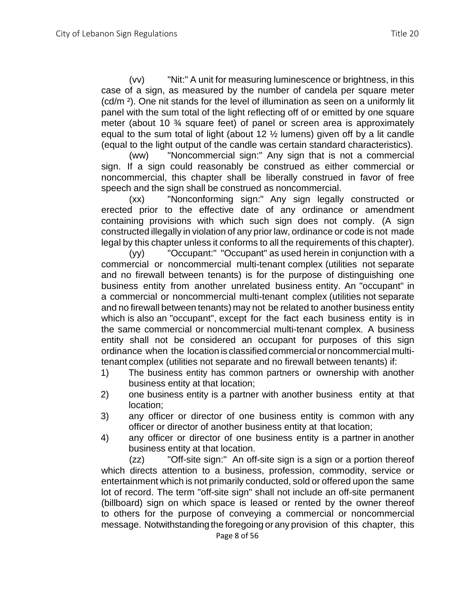(vv) "Nit:" A unit for measuring luminescence or brightness, in this case of a sign, as measured by the number of candela per square meter (cd/m ²). One nit stands for the level of illumination as seen on a uniformly lit panel with the sum total of the light reflecting off of or emitted by one square meter (about 10 ¾ square feet) of panel or screen area is approximately equal to the sum total of light (about 12  $\frac{1}{2}$  lumens) given off by a lit candle (equal to the light output of the candle was certain standard characteristics).

(ww) "Noncommercial sign:" Any sign that is not a commercial sign. If a sign could reasonably be construed as either commercial or noncommercial, this chapter shall be liberally construed in favor of free speech and the sign shall be construed as noncommercial.

(xx) "Nonconforming sign:" Any sign legally constructed or erected prior to the effective date of any ordinance or amendment containing provisions with which such sign does not comply. (A sign constructed illegally in violation of any prior law, ordinance or code is not made legal by this chapter unless it conforms to all the requirements of this chapter).

(yy) "Occupant:" "Occupant" as used herein in conjunction with a commercial or noncommercial multi-tenant complex (utilities not separate and no firewall between tenants) is for the purpose of distinguishing one business entity from another unrelated business entity. An "occupant" in a commercial or noncommercial multi-tenant complex (utilities not separate and no firewall between tenants) may not be related to another business entity which is also an "occupant", except for the fact each business entity is in the same commercial or noncommercial multi-tenant complex. A business entity shall not be considered an occupant for purposes of this sign ordinance when the location is classified commercial or noncommercial multitenant complex (utilities not separate and no firewall between tenants) if:

- 1) The business entity has common partners or ownership with another business entity at that location;
- 2) one business entity is a partner with another business entity at that location;
- 3) any officer or director of one business entity is common with any officer or director of another business entity at that location;
- 4) any officer or director of one business entity is a partner in another business entity at that location.

(zz) "Off-site sign:" An off-site sign is a sign or a portion thereof which directs attention to a business, profession, commodity, service or entertainment which is not primarily conducted, sold or offered upon the same lot of record. The term "off-site sign" shall not include an off-site permanent (billboard) sign on which space is leased or rented by the owner thereof to others for the purpose of conveying a commercial or noncommercial message. Notwithstanding the foregoing or any provision of this chapter, this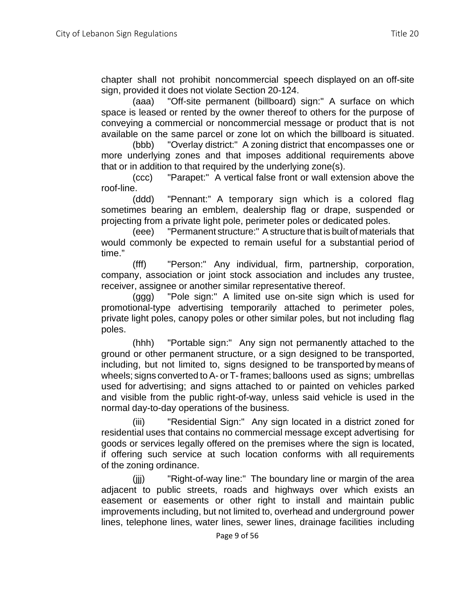chapter shall not prohibit noncommercial speech displayed on an off-site sign, provided it does not violate Section 20-124.

(aaa) "Off-site permanent (billboard) sign:" A surface on which space is leased or rented by the owner thereof to others for the purpose of conveying a commercial or noncommercial message or product that is not available on the same parcel or zone lot on which the billboard is situated.

(bbb) "Overlay district:" A zoning district that encompasses one or more underlying zones and that imposes additional requirements above that or in addition to that required by the underlying zone(s).

(ccc) "Parapet:" A vertical false front or wall extension above the roof-line.

(ddd) "Pennant:" A temporary sign which is a colored flag sometimes bearing an emblem, dealership flag or drape, suspended or projecting from a private light pole, perimeter poles or dedicated poles.

(eee) "Permanent structure:" Astructure that is built of materials that would commonly be expected to remain useful for a substantial period of time."

(fff) "Person:" Any individual, firm, partnership, corporation, company, association or joint stock association and includes any trustee, receiver, assignee or another similar representative thereof.

(ggg) "Pole sign:" A limited use on-site sign which is used for promotional-type advertising temporarily attached to perimeter poles, private light poles, canopy poles or other similar poles, but not including flag poles.

(hhh) "Portable sign:" Any sign not permanently attached to the ground or other permanent structure, or a sign designed to be transported, including, but not limited to, signs designed to be transported by means of wheels; signs converted to A- or T- frames; balloons used as signs; umbrellas used for advertising; and signs attached to or painted on vehicles parked and visible from the public right-of-way, unless said vehicle is used in the normal day-to-day operations of the business.

(iii) "Residential Sign:" Any sign located in a district zoned for residential uses that contains no commercial message except advertising for goods or services legally offered on the premises where the sign is located, if offering such service at such location conforms with all requirements of the zoning ordinance.

(jjj) "Right-of-way line:" The boundary line or margin of the area adjacent to public streets, roads and highways over which exists an easement or easements or other right to install and maintain public improvements including, but not limited to, overhead and underground power lines, telephone lines, water lines, sewer lines, drainage facilities including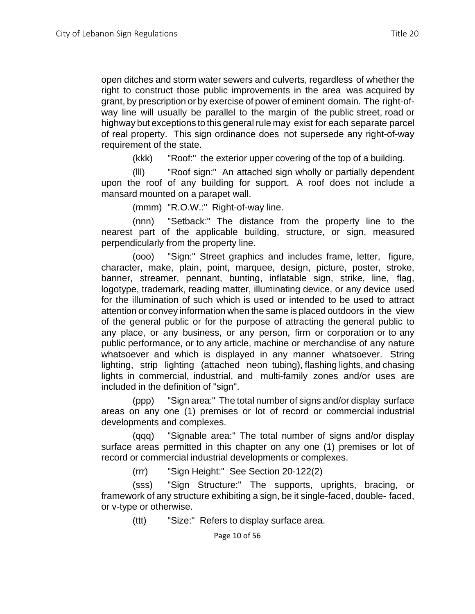open ditches and storm water sewers and culverts, regardless of whether the right to construct those public improvements in the area was acquired by grant, by prescription or by exercise of power of eminent domain. The right-ofway line will usually be parallel to the margin of the public street, road or highway but exceptions to this general rule may exist for each separate parcel of real property. This sign ordinance does not supersede any right-of-way requirement of the state.

(kkk) "Roof:" the exterior upper covering of the top of a building.

(lll) "Roof sign:" An attached sign wholly or partially dependent upon the roof of any building for support. A roof does not include a mansard mounted on a parapet wall.

(mmm) "R.O.W.:" Right-of-way line.

(nnn) "Setback:" The distance from the property line to the nearest part of the applicable building, structure, or sign, measured perpendicularly from the property line.

(ooo) "Sign:" Street graphics and includes frame, letter, figure, character, make, plain, point, marquee, design, picture, poster, stroke, banner, streamer, pennant, bunting, inflatable sign, strike, line, flag, logotype, trademark, reading matter, illuminating device, or any device used for the illumination of such which is used or intended to be used to attract attention or convey information when the same is placed outdoors in the view of the general public or for the purpose of attracting the general public to any place, or any business, or any person, firm or corporation or to any public performance, or to any article, machine or merchandise of any nature whatsoever and which is displayed in any manner whatsoever. String lighting, strip lighting (attached neon tubing), flashing lights, and chasing lights in commercial, industrial, and multi-family zones and/or uses are included in the definition of "sign".

(ppp) "Sign area:" The total number of signs and/or display surface areas on any one (1) premises or lot of record or commercial industrial developments and complexes.

(qqq) "Signable area:" The total number of signs and/or display surface areas permitted in this chapter on any one (1) premises or lot of record or commercial industrial developments or complexes.

(rrr) "Sign Height:" See Section 20-122(2)

(sss) "Sign Structure:" The supports, uprights, bracing, or framework of any structure exhibiting a sign, be it single-faced, double- faced, or v-type or otherwise.

(ttt) "Size:" Refers to display surface area.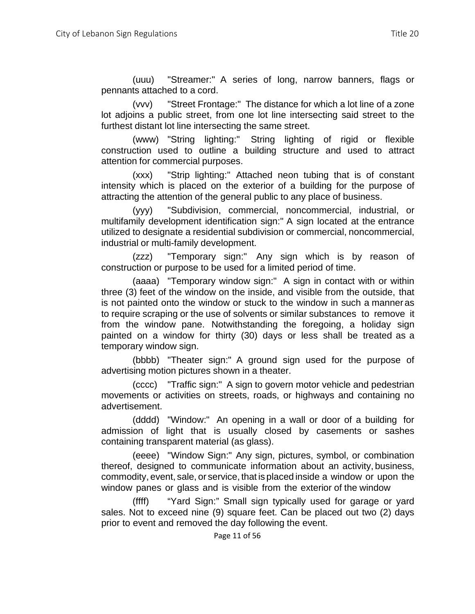(uuu) "Streamer:" A series of long, narrow banners, flags or pennants attached to a cord.

(vvv) "Street Frontage:" The distance for which a lot line of a zone lot adjoins a public street, from one lot line intersecting said street to the furthest distant lot line intersecting the same street.

(www) "String lighting:" String lighting of rigid or flexible construction used to outline a building structure and used to attract attention for commercial purposes.

(xxx) "Strip lighting:" Attached neon tubing that is of constant intensity which is placed on the exterior of a building for the purpose of attracting the attention of the general public to any place of business.

(yyy) "Subdivision, commercial, noncommercial, industrial, or multifamily development identification sign:" A sign located at the entrance utilized to designate a residential subdivision or commercial, noncommercial, industrial or multi-family development.

(zzz) "Temporary sign:" Any sign which is by reason of construction or purpose to be used for a limited period of time.

(aaaa) "Temporary window sign:" A sign in contact with or within three (3) feet of the window on the inside, and visible from the outside, that is not painted onto the window or stuck to the window in such a manner as to require scraping or the use of solvents or similar substances to remove it from the window pane. Notwithstanding the foregoing, a holiday sign painted on a window for thirty (30) days or less shall be treated as a temporary window sign.

(bbbb) "Theater sign:" A ground sign used for the purpose of advertising motion pictures shown in a theater.

(cccc) "Traffic sign:" A sign to govern motor vehicle and pedestrian movements or activities on streets, roads, or highways and containing no advertisement.

(dddd) "Window:" An opening in a wall or door of a building for admission of light that is usually closed by casements or sashes containing transparent material (as glass).

(eeee) "Window Sign:" Any sign, pictures, symbol, or combination thereof, designed to communicate information about an activity, business, commodity, event, sale, or service, that is placed inside a window or upon the window panes or glass and is visible from the exterior of the window

(ffff) "Yard Sign:" Small sign typically used for garage or yard sales. Not to exceed nine (9) square feet. Can be placed out two (2) days prior to event and removed the day following the event.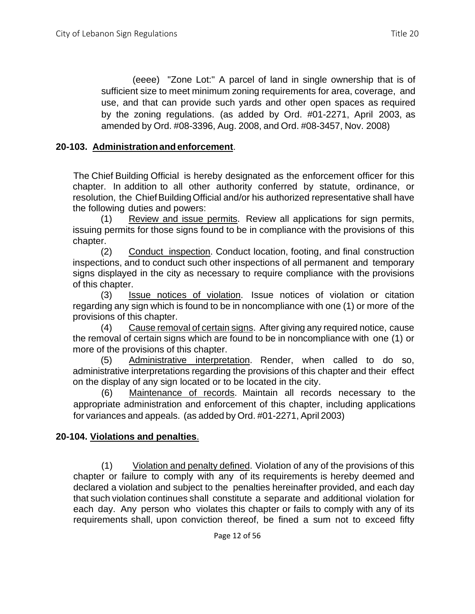(eeee) "Zone Lot:" A parcel of land in single ownership that is of sufficient size to meet minimum zoning requirements for area, coverage, and use, and that can provide such yards and other open spaces as required by the zoning regulations. (as added by Ord. #01-2271, April 2003, as amended by Ord. #08-3396, Aug. 2008, and Ord. #08-3457, Nov. 2008)

## **20-103. Administrationandenforcement**.

The Chief Building Official is hereby designated as the enforcement officer for this chapter. In addition to all other authority conferred by statute, ordinance, or resolution, the Chief Building Official and/or his authorized representative shall have the following duties and powers:

(1) Review and issue permits. Review all applications for sign permits, issuing permits for those signs found to be in compliance with the provisions of this chapter.

(2) Conduct inspection. Conduct location, footing, and final construction inspections, and to conduct such other inspections of all permanent and temporary signs displayed in the city as necessary to require compliance with the provisions of this chapter.

(3) Issue notices of violation. Issue notices of violation or citation regarding any sign which is found to be in noncompliance with one (1) or more of the provisions of this chapter.

(4) Cause removal of certain signs. After giving any required notice, cause the removal of certain signs which are found to be in noncompliance with one (1) or more of the provisions of this chapter.

(5) Administrative interpretation. Render, when called to do so, administrative interpretations regarding the provisions of this chapter and their effect on the display of any sign located or to be located in the city.

(6) Maintenance of records. Maintain all records necessary to the appropriate administration and enforcement of this chapter, including applications for variances and appeals. (as added by Ord. #01-2271, April 2003)

## **20-104. Violations and penalties**.

(1) Violation and penalty defined. Violation of any of the provisions of this chapter or failure to comply with any of its requirements is hereby deemed and declared a violation and subject to the penalties hereinafter provided, and each day that such violation continues shall constitute a separate and additional violation for each day. Any person who violates this chapter or fails to comply with any of its requirements shall, upon conviction thereof, be fined a sum not to exceed fifty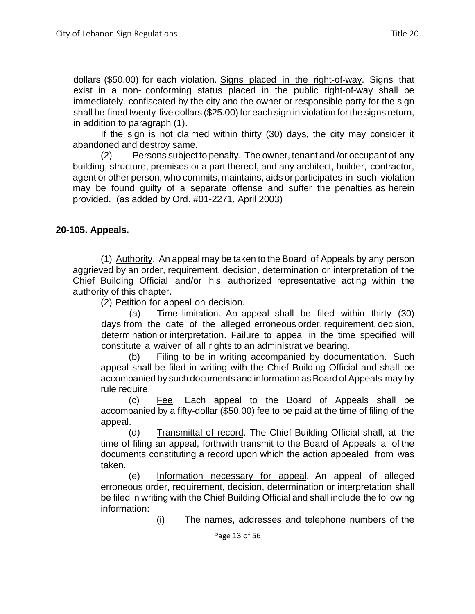dollars (\$50.00) for each violation. Signs placed in the right-of-way. Signs that exist in a non- conforming status placed in the public right-of-way shall be immediately. confiscated by the city and the owner or responsible party for the sign shall be fined twenty-five dollars (\$25.00) for each sign in violation forthe signs return, in addition to paragraph (1).

If the sign is not claimed within thirty (30) days, the city may consider it abandoned and destroy same.

(2) Persons subject to penalty. The owner, tenant and /or occupant of any building, structure, premises or a part thereof, and any architect, builder, contractor, agent or other person, who commits, maintains, aids or participates in such violation may be found guilty of a separate offense and suffer the penalties as herein provided. (as added by Ord. #01-2271, April 2003)

## **20-105. Appeals.**

(1) Authority. An appeal may be taken to the Board of Appeals by any person aggrieved by an order, requirement, decision, determination or interpretation of the Chief Building Official and/or his authorized representative acting within the authority of this chapter.

(2) Petition for appeal on decision.

(a) Time limitation. An appeal shall be filed within thirty (30) days from the date of the alleged erroneous order, requirement, decision, determination or interpretation. Failure to appeal in the time specified will constitute a waiver of all rights to an administrative bearing.

(b) Filing to be in writing accompanied by documentation. Such appeal shall be filed in writing with the Chief Building Official and shall be accompanied by such documents and information as Board of Appeals may by rule require.

(c) Fee. Each appeal to the Board of Appeals shall be accompanied by a fifty-dollar (\$50.00) fee to be paid at the time of filing of the appeal.

(d) Transmittal of record. The Chief Building Official shall, at the time of filing an appeal, forthwith transmit to the Board of Appeals all of the documents constituting a record upon which the action appealed from was taken.

(e) Information necessary for appeal. An appeal of alleged erroneous order, requirement, decision, determination or interpretation shall be filed in writing with the Chief Building Official and shall include the following information:

(i) The names, addresses and telephone numbers of the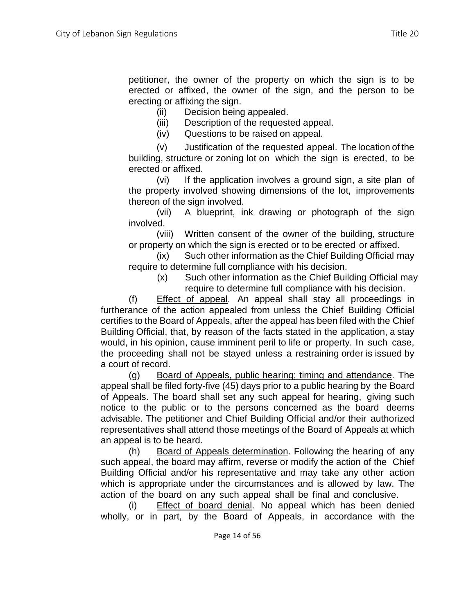petitioner, the owner of the property on which the sign is to be erected or affixed, the owner of the sign, and the person to be erecting or affixing the sign.

(ii) Decision being appealed.

(iii) Description of the requested appeal.

(iv) Questions to be raised on appeal.

(v) Justification of the requested appeal. The location of the building, structure or zoning lot on which the sign is erected, to be erected or affixed.

(vi) If the application involves a ground sign, a site plan of the property involved showing dimensions of the lot, improvements thereon of the sign involved.

(vii) A blueprint, ink drawing or photograph of the sign involved.

(viii) Written consent of the owner of the building, structure or property on which the sign is erected or to be erected or affixed.

(ix) Such other information as the Chief Building Official may require to determine full compliance with his decision.

(x) Such other information as the Chief Building Official may require to determine full compliance with his decision.

(f) Effect of appeal. An appeal shall stay all proceedings in furtherance of the action appealed from unless the Chief Building Official certifies to the Board of Appeals, after the appeal has been filed with the Chief Building Official, that, by reason of the facts stated in the application, a stay would, in his opinion, cause imminent peril to life or property. In such case, the proceeding shall not be stayed unless a restraining order is issued by a court of record.

(g) Board of Appeals, public hearing; timing and attendance. The appeal shall be filed forty-five (45) days prior to a public hearing by the Board of Appeals. The board shall set any such appeal for hearing, giving such notice to the public or to the persons concerned as the board deems advisable. The petitioner and Chief Building Official and/or their authorized representatives shall attend those meetings of the Board of Appeals at which an appeal is to be heard.

(h) Board of Appeals determination. Following the hearing of any such appeal, the board may affirm, reverse or modify the action of the Chief Building Official and/or his representative and may take any other action which is appropriate under the circumstances and is allowed by law. The action of the board on any such appeal shall be final and conclusive.

(i) Effect of board denial. No appeal which has been denied wholly, or in part, by the Board of Appeals, in accordance with the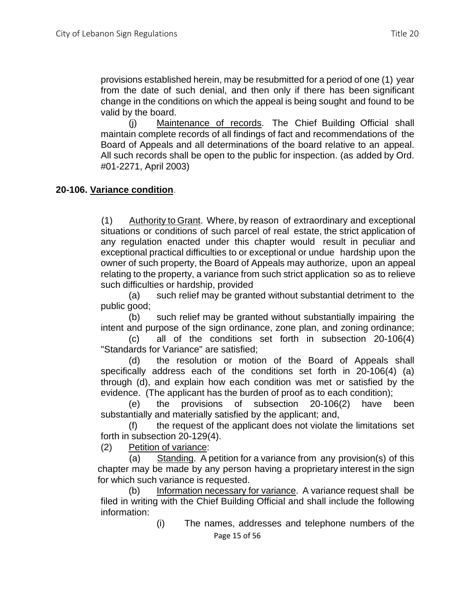provisions established herein, may be resubmitted for a period of one (1) year from the date of such denial, and then only if there has been significant change in the conditions on which the appeal is being sought and found to be valid by the board.

(j) Maintenance of records. The Chief Building Official shall maintain complete records of all findings of fact and recommendations of the Board of Appeals and all determinations of the board relative to an appeal. All such records shall be open to the public for inspection. (as added by Ord. #01-2271, April 2003)

## **20-106. Variance condition**.

(1) Authority to Grant. Where, by reason of extraordinary and exceptional situations or conditions of such parcel of real estate, the strict application of any regulation enacted under this chapter would result in peculiar and exceptional practical difficulties to or exceptional or undue hardship upon the owner of such property, the Board of Appeals may authorize, upon an appeal relating to the property, a variance from such strict application so as to relieve such difficulties or hardship, provided

(a) such relief may be granted without substantial detriment to the public good;

(b) such relief may be granted without substantially impairing the intent and purpose of the sign ordinance, zone plan, and zoning ordinance;

(c) all of the conditions set forth in subsection 20-106(4) "Standards for Variance" are satisfied;

(d) the resolution or motion of the Board of Appeals shall specifically address each of the conditions set forth in 20-106(4) (a) through (d), and explain how each condition was met or satisfied by the evidence. (The applicant has the burden of proof as to each condition);

(e) the provisions of subsection 20-106(2) have been substantially and materially satisfied by the applicant; and,

(f) the request of the applicant does not violate the limitations set forth in subsection 20-129(4).

(2) Petition of variance:

(a) Standing. A petition for a variance from any provision(s) of this chapter may be made by any person having a proprietary interest in the sign for which such variance is requested.

(b) Information necessary for variance. A variance request shall be filed in writing with the Chief Building Official and shall include the following information:

Page 15 of 56 (i) The names, addresses and telephone numbers of the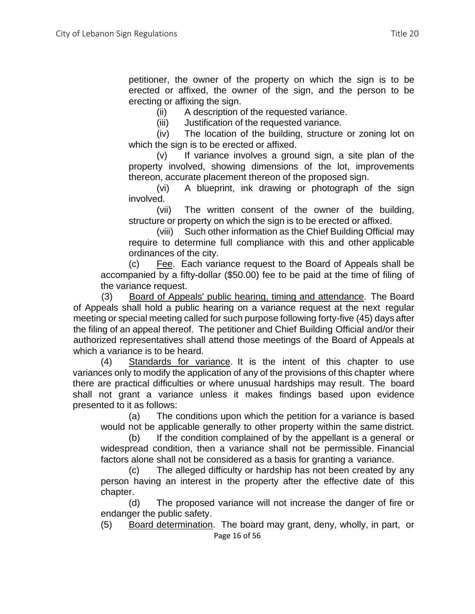petitioner, the owner of the property on which the sign is to be erected or affixed, the owner of the sign, and the person to be erecting or affixing the sign.

(ii) A description of the requested variance.

(iii) Justification of the requested variance.

(iv) The location of the building, structure or zoning lot on which the sign is to be erected or affixed.

(v) If variance involves a ground sign, a site plan of the property involved, showing dimensions of the lot, improvements thereon, accurate placement thereon of the proposed sign.

(vi) A blueprint, ink drawing or photograph of the sign involved.

(vii) The written consent of the owner of the building, structure or property on which the sign is to be erected or affixed.

(viii) Such other information as the Chief Building Official may require to determine full compliance with this and other applicable ordinances of the city.

(c) Fee. Each variance request to the Board of Appeals shall be accompanied by a fifty-dollar (\$50.00) fee to be paid at the time of filing of the variance request.

(3) Board of Appeals' public hearing, timing and attendance. The Board of Appeals shall hold a public hearing on a variance request at the next regular meeting or special meeting called for such purpose following forty-five (45) days after the filing of an appeal thereof. The petitioner and Chief Building Official and/or their authorized representatives shall attend those meetings of the Board of Appeals at which a variance is to be heard.

(4) Standards for variance. It is the intent of this chapter to use variances only to modify the application of any of the provisions of this chapter where there are practical difficulties or where unusual hardships may result. The board shall not grant a variance unless it makes findings based upon evidence presented to it as follows:

(a) The conditions upon which the petition for a variance is based would not be applicable generally to other property within the same district.

(b) If the condition complained of by the appellant is a general or widespread condition, then a variance shall not be permissible. Financial factors alone shall not be considered as a basis for granting a variance.

(c) The alleged difficulty or hardship has not been created by any person having an interest in the property after the effective date of this chapter.

(d) The proposed variance will not increase the danger of fire or endanger the public safety.

Page 16 of 56 (5) Board determination. The board may grant, deny, wholly, in part, or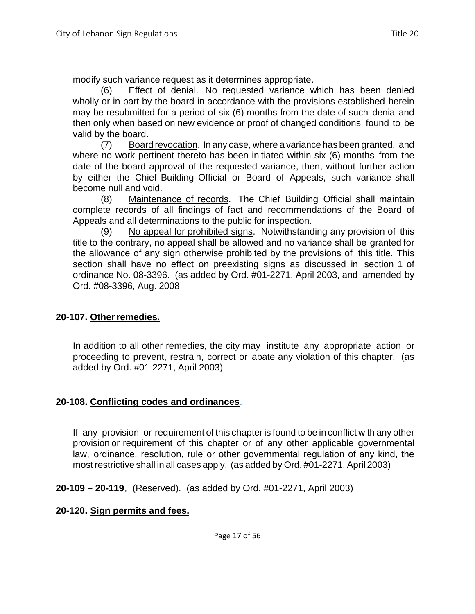modify such variance request as it determines appropriate.

(6) Effect of denial. No requested variance which has been denied wholly or in part by the board in accordance with the provisions established herein may be resubmitted for a period of six (6) months from the date of such denial and then only when based on new evidence or proof of changed conditions found to be valid by the board.

(7) Board revocation. In any case, where a variance has been granted, and where no work pertinent thereto has been initiated within six (6) months from the date of the board approval of the requested variance, then, without further action by either the Chief Building Official or Board of Appeals, such variance shall become null and void.

(8) Maintenance of records. The Chief Building Official shall maintain complete records of all findings of fact and recommendations of the Board of Appeals and all determinations to the public for inspection.

(9) No appeal for prohibited signs. Notwithstanding any provision of this title to the contrary, no appeal shall be allowed and no variance shall be granted for the allowance of any sign otherwise prohibited by the provisions of this title. This section shall have no effect on preexisting signs as discussed in section 1 of ordinance No. 08-3396. (as added by Ord. #01-2271, April 2003, and amended by Ord. #08-3396, Aug. 2008

## **20-107. Otherremedies.**

In addition to all other remedies, the city may institute any appropriate action or proceeding to prevent, restrain, correct or abate any violation of this chapter. (as added by Ord. #01-2271, April 2003)

## **20-108. Conflicting codes and ordinances**.

If any provision or requirement of this chapter is found to be in conflict with any other provision or requirement of this chapter or of any other applicable governmental law, ordinance, resolution, rule or other governmental regulation of any kind, the most restrictive shall in all cases apply. (as added by Ord. #01-2271, April 2003)

**20-109 – 20-119**. (Reserved). (as added by Ord. #01-2271, April 2003)

## **20-120. Sign permits and fees.**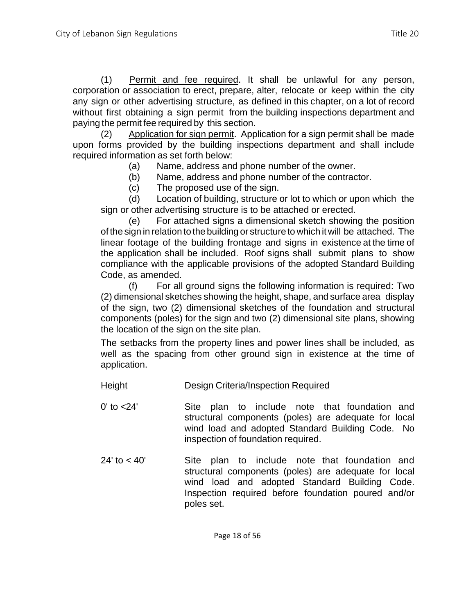(1) Permit and fee required. It shall be unlawful for any person, corporation or association to erect, prepare, alter, relocate or keep within the city any sign or other advertising structure, as defined in this chapter, on a lot of record without first obtaining a sign permit from the building inspections department and paying the permit fee required by this section.

(2) Application for sign permit. Application for a sign permit shall be made upon forms provided by the building inspections department and shall include required information as set forth below:

(a) Name, address and phone number of the owner.

(b) Name, address and phone number of the contractor.

(c) The proposed use of the sign.

(d) Location of building, structure or lot to which or upon which the sign or other advertising structure is to be attached or erected.

(e) For attached signs a dimensional sketch showing the position of the sign in relation to the building or structure to which it will be attached. The linear footage of the building frontage and signs in existence at the time of the application shall be included. Roof signs shall submit plans to show compliance with the applicable provisions of the adopted Standard Building Code, as amended.

(f) For all ground signs the following information is required: Two (2) dimensional sketches showing the height, shape, and surface area display of the sign, two (2) dimensional sketches of the foundation and structural components (poles) for the sign and two (2) dimensional site plans, showing the location of the sign on the site plan.

The setbacks from the property lines and power lines shall be included, as well as the spacing from other ground sign in existence at the time of application.

- Height Design Criteria/Inspection Required
- 0' to <24' Site plan to include note that foundation and structural components (poles) are adequate for local wind load and adopted Standard Building Code. No inspection of foundation required.
- 24' to < 40' Site plan to include note that foundation and structural components (poles) are adequate for local wind load and adopted Standard Building Code. Inspection required before foundation poured and/or poles set.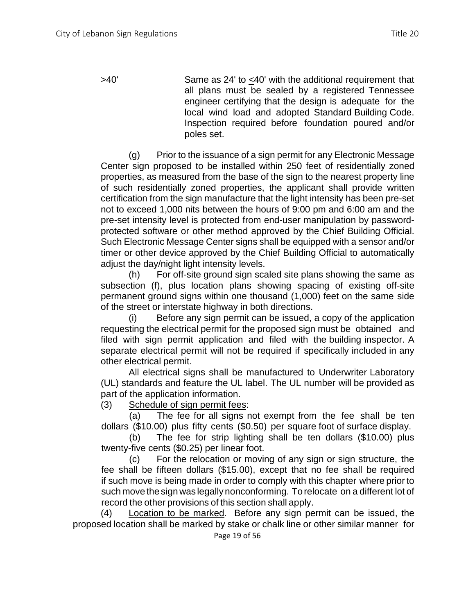$>40'$  Same as 24' to  $\leq 40'$  with the additional requirement that all plans must be sealed by a registered Tennessee engineer certifying that the design is adequate for the local wind load and adopted Standard Building Code. Inspection required before foundation poured and/or poles set.

(g) Prior to the issuance of a sign permit for any Electronic Message Center sign proposed to be installed within 250 feet of residentially zoned properties, as measured from the base of the sign to the nearest property line of such residentially zoned properties, the applicant shall provide written certification from the sign manufacture that the light intensity has been pre-set not to exceed 1,000 nits between the hours of 9:00 pm and 6:00 am and the pre-set intensity level is protected from end-user manipulation by passwordprotected software or other method approved by the Chief Building Official. Such Electronic Message Center signs shall be equipped with a sensor and/or timer or other device approved by the Chief Building Official to automatically adjust the day/night light intensity levels.

(h) For off-site ground sign scaled site plans showing the same as subsection (f), plus location plans showing spacing of existing off-site permanent ground signs within one thousand (1,000) feet on the same side of the street or interstate highway in both directions.

(i) Before any sign permit can be issued, a copy of the application requesting the electrical permit for the proposed sign must be obtained and filed with sign permit application and filed with the building inspector. A separate electrical permit will not be required if specifically included in any other electrical permit.

All electrical signs shall be manufactured to Underwriter Laboratory (UL) standards and feature the UL label. The UL number will be provided as part of the application information.

(3) Schedule of sign permit fees:

(a) The fee for all signs not exempt from the fee shall be ten dollars (\$10.00) plus fifty cents (\$0.50) per square foot of surface display.

(b) The fee for strip lighting shall be ten dollars (\$10.00) plus twenty-five cents (\$0.25) per linear foot.

(c) For the relocation or moving of any sign or sign structure, the fee shall be fifteen dollars (\$15.00), except that no fee shall be required if such move is being made in order to comply with this chapter where prior to such move the sign was legally nonconforming. To relocate on a different lot of record the other provisions of this section shall apply.

(4) Location to be marked. Before any sign permit can be issued, the proposed location shall be marked by stake or chalk line or other similar manner for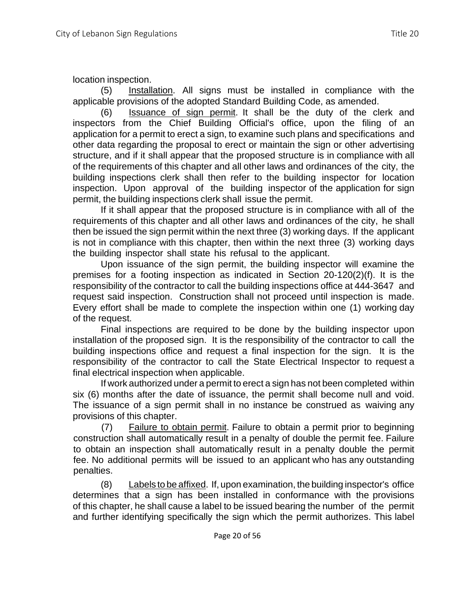location inspection.

(5) Installation. All signs must be installed in compliance with the applicable provisions of the adopted Standard Building Code, as amended.

(6) Issuance of sign permit. It shall be the duty of the clerk and inspectors from the Chief Building Official's office, upon the filing of an application for a permit to erect a sign, to examine such plans and specifications and other data regarding the proposal to erect or maintain the sign or other advertising structure, and if it shall appear that the proposed structure is in compliance with all of the requirements of this chapter and all other laws and ordinances of the city, the building inspections clerk shall then refer to the building inspector for location inspection. Upon approval of the building inspector of the application for sign permit, the building inspections clerk shall issue the permit.

If it shall appear that the proposed structure is in compliance with all of the requirements of this chapter and all other laws and ordinances of the city, he shall then be issued the sign permit within the next three (3) working days. If the applicant is not in compliance with this chapter, then within the next three (3) working days the building inspector shall state his refusal to the applicant.

Upon issuance of the sign permit, the building inspector will examine the premises for a footing inspection as indicated in Section 20-120(2)(f). It is the responsibility of the contractor to call the building inspections office at 444-3647 and request said inspection. Construction shall not proceed until inspection is made. Every effort shall be made to complete the inspection within one (1) working day of the request.

Final inspections are required to be done by the building inspector upon installation of the proposed sign. It is the responsibility of the contractor to call the building inspections office and request a final inspection for the sign. It is the responsibility of the contractor to call the State Electrical Inspector to request a final electrical inspection when applicable.

If work authorized under a permit to erect a sign has not been completed within six (6) months after the date of issuance, the permit shall become null and void. The issuance of a sign permit shall in no instance be construed as waiving any provisions of this chapter.

(7) Failure to obtain permit. Failure to obtain a permit prior to beginning construction shall automatically result in a penalty of double the permit fee. Failure to obtain an inspection shall automatically result in a penalty double the permit fee. No additional permits will be issued to an applicant who has any outstanding penalties.

(8) Labels to be affixed. If, upon examination, the building inspector's office determines that a sign has been installed in conformance with the provisions of this chapter, he shall cause a label to be issued bearing the number of the permit and further identifying specifically the sign which the permit authorizes. This label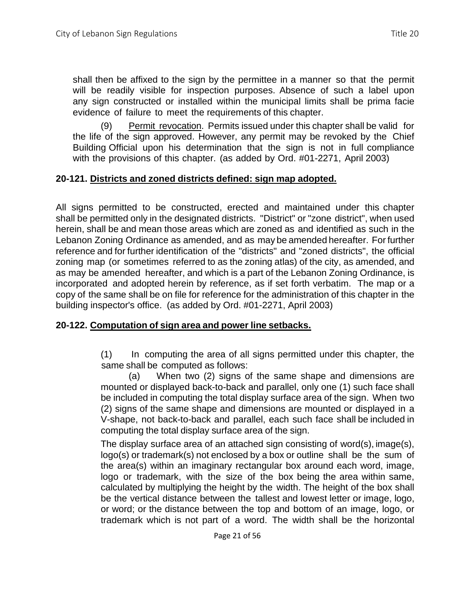shall then be affixed to the sign by the permittee in a manner so that the permit will be readily visible for inspection purposes. Absence of such a label upon any sign constructed or installed within the municipal limits shall be prima facie evidence of failure to meet the requirements of this chapter.

(9) Permit revocation. Permits issued under this chapter shall be valid for the life of the sign approved. However, any permit may be revoked by the Chief Building Official upon his determination that the sign is not in full compliance with the provisions of this chapter. (as added by Ord. #01-2271, April 2003)

## **20-121. Districts and zoned districts defined: sign map adopted.**

All signs permitted to be constructed, erected and maintained under this chapter shall be permitted only in the designated districts. "District" or "zone district", when used herein, shall be and mean those areas which are zoned as and identified as such in the Lebanon Zoning Ordinance as amended, and as may be amended hereafter. For further reference and for further identification of the "districts" and "zoned districts", the official zoning map (or sometimes referred to as the zoning atlas) of the city, as amended, and as may be amended hereafter, and which is a part of the Lebanon Zoning Ordinance, is incorporated and adopted herein by reference, as if set forth verbatim. The map or a copy of the same shall be on file for reference for the administration of this chapter in the building inspector's office. (as added by Ord. #01-2271, April 2003)

### **20-122. Computation of sign area and power line setbacks.**

(1) In computing the area of all signs permitted under this chapter, the same shall be computed as follows:

(a) When two (2) signs of the same shape and dimensions are mounted or displayed back-to-back and parallel, only one (1) such face shall be included in computing the total display surface area of the sign. When two (2) signs of the same shape and dimensions are mounted or displayed in a V-shape, not back-to-back and parallel, each such face shall be included in computing the total display surface area of the sign.

The display surface area of an attached sign consisting of word(s), image(s), logo(s) or trademark(s) not enclosed by a box or outline shall be the sum of the area(s) within an imaginary rectangular box around each word, image, logo or trademark, with the size of the box being the area within same, calculated by multiplying the height by the width. The height of the box shall be the vertical distance between the tallest and lowest letter or image, logo, or word; or the distance between the top and bottom of an image, logo, or trademark which is not part of a word. The width shall be the horizontal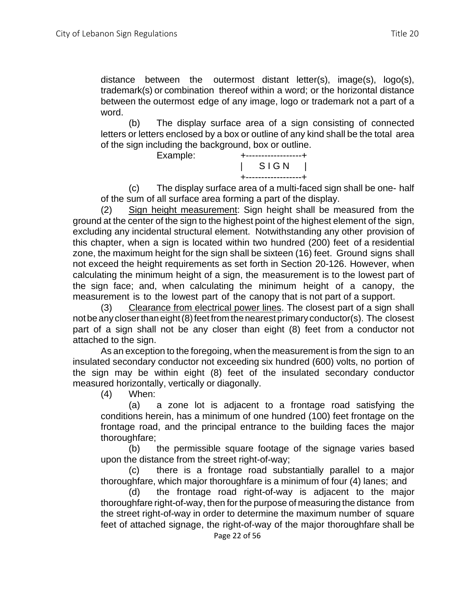distance between the outermost distant letter(s), image(s), logo(s), trademark(s) or combination thereof within a word; or the horizontal distance between the outermost edge of any image, logo or trademark not a part of a word.

(b) The display surface area of a sign consisting of connected letters or letters enclosed by a box or outline of any kind shall be the total area of the sign including the background, box or outline.



(c) The display surface area of a multi-faced sign shall be one- half of the sum of all surface area forming a part of the display.

(2) Sign height measurement: Sign height shall be measured from the ground at the center of the sign to the highest point of the highest element of the sign, excluding any incidental structural element. Notwithstanding any other provision of this chapter, when a sign is located within two hundred (200) feet of a residential zone, the maximum height for the sign shall be sixteen (16) feet. Ground signs shall not exceed the height requirements as set forth in Section 20-126. However, when calculating the minimum height of a sign, the measurement is to the lowest part of the sign face; and, when calculating the minimum height of a canopy, the measurement is to the lowest part of the canopy that is not part of a support.

(3) Clearance from electrical power lines. The closest part of a sign shall notbeany closerthaneight(8)feetfrom thenearest primary conductor(s). The closest part of a sign shall not be any closer than eight (8) feet from a conductor not attached to the sign.

As an exception to the foregoing, when the measurement is from the sign to an insulated secondary conductor not exceeding six hundred (600) volts, no portion of the sign may be within eight (8) feet of the insulated secondary conductor measured horizontally, vertically or diagonally.

(4) When:

(a) a zone lot is adjacent to a frontage road satisfying the conditions herein, has a minimum of one hundred (100) feet frontage on the frontage road, and the principal entrance to the building faces the major thoroughfare;

(b) the permissible square footage of the signage varies based upon the distance from the street right-of-way;

(c) there is a frontage road substantially parallel to a major thoroughfare, which major thoroughfare is a minimum of four (4) lanes; and

Page 22 of 56 (d) the frontage road right-of-way is adjacent to the major thoroughfare right-of-way, then for the purpose of measuring the distance from the street right-of-way in order to determine the maximum number of square feet of attached signage, the right-of-way of the major thoroughfare shall be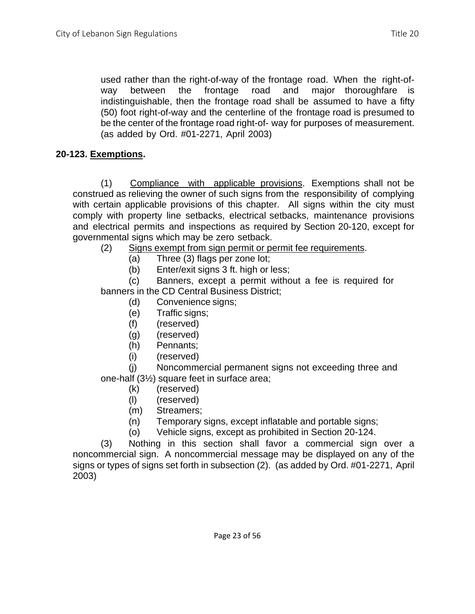used rather than the right-of-way of the frontage road. When the right-ofway between the frontage road and major thoroughfare is indistinguishable, then the frontage road shall be assumed to have a fifty (50) foot right-of-way and the centerline of the frontage road is presumed to be the center of the frontage road right-of- way for purposes of measurement. (as added by Ord. #01-2271, April 2003)

# **20-123. Exemptions.**

(1) Compliance with applicable provisions. Exemptions shall not be construed as relieving the owner of such signs from the responsibility of complying with certain applicable provisions of this chapter. All signs within the city must comply with property line setbacks, electrical setbacks, maintenance provisions and electrical permits and inspections as required by Section 20-120, except for governmental signs which may be zero setback.

- (2) Signs exempt from sign permit or permit fee requirements.
	- (a) Three (3) flags per zone lot;
	- (b) Enter/exit signs 3 ft. high or less;

(c) Banners, except a permit without a fee is required for banners in the CD Central Business District;

- (d) Convenience signs;
- (e) Traffic signs;
- (f) (reserved)
- (g) (reserved)
- (h) Pennants;
- (i) (reserved)

(j) Noncommercial permanent signs not exceeding three and one-half (3½) square feet in surface area;

- (k) (reserved)
- (l) (reserved)
- (m) Streamers;
- (n) Temporary signs, except inflatable and portable signs;
- (o) Vehicle signs, except as prohibited in Section 20-124.

(3) Nothing in this section shall favor a commercial sign over a noncommercial sign. A noncommercial message may be displayed on any of the signs or types of signs set forth in subsection (2). (as added by Ord. #01-2271, April 2003)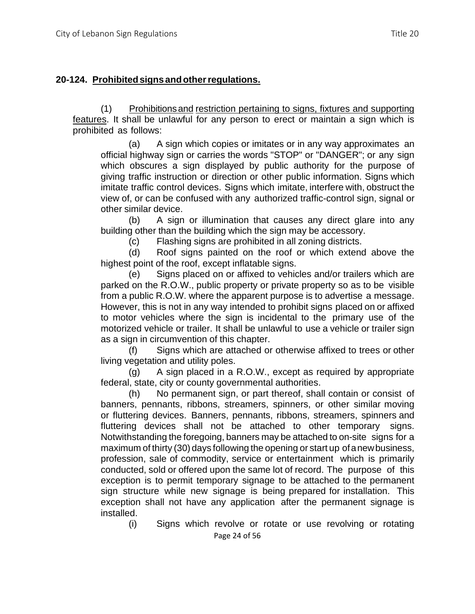## **20-124. Prohibitedsigns andotherregulations.**

(1) Prohibitionsand restriction pertaining to signs, fixtures and supporting features. It shall be unlawful for any person to erect or maintain a sign which is prohibited as follows:

(a) A sign which copies or imitates or in any way approximates an official highway sign or carries the words "STOP" or "DANGER"; or any sign which obscures a sign displayed by public authority for the purpose of giving traffic instruction or direction or other public information. Signs which imitate traffic control devices. Signs which imitate, interfere with, obstruct the view of, or can be confused with any authorized traffic-control sign, signal or other similar device.

(b) A sign or illumination that causes any direct glare into any building other than the building which the sign may be accessory.

(c) Flashing signs are prohibited in all zoning districts.

(d) Roof signs painted on the roof or which extend above the highest point of the roof, except inflatable signs.

(e) Signs placed on or affixed to vehicles and/or trailers which are parked on the R.O.W., public property or private property so as to be visible from a public R.O.W. where the apparent purpose is to advertise a message. However, this is not in any way intended to prohibit signs placed on or affixed to motor vehicles where the sign is incidental to the primary use of the motorized vehicle or trailer. It shall be unlawful to use a vehicle or trailer sign as a sign in circumvention of this chapter.

(f) Signs which are attached or otherwise affixed to trees or other living vegetation and utility poles.

(g) A sign placed in a R.O.W., except as required by appropriate federal, state, city or county governmental authorities.

(h) No permanent sign, or part thereof, shall contain or consist of banners, pennants, ribbons, streamers, spinners, or other similar moving or fluttering devices. Banners, pennants, ribbons, streamers, spinners and fluttering devices shall not be attached to other temporary signs. Notwithstanding the foregoing, banners may be attached to on-site signs for a maximum of thirty (30) days following the opening or start up ofanewbusiness, profession, sale of commodity, service or entertainment which is primarily conducted, sold or offered upon the same lot of record. The purpose of this exception is to permit temporary signage to be attached to the permanent sign structure while new signage is being prepared for installation. This exception shall not have any application after the permanent signage is installed.

Page 24 of 56 (i) Signs which revolve or rotate or use revolving or rotating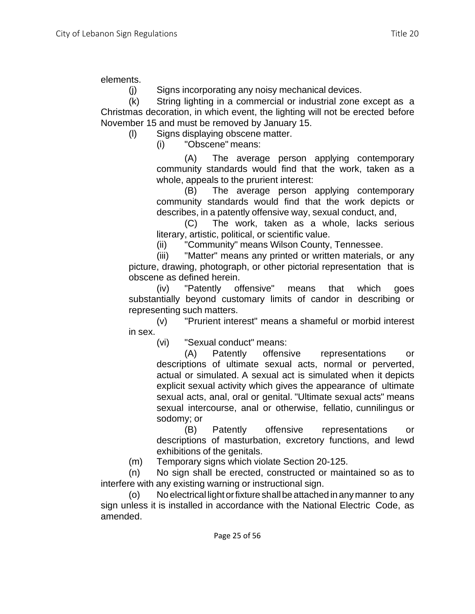(j) Signs incorporating any noisy mechanical devices.

(k) String lighting in a commercial or industrial zone except as a Christmas decoration, in which event, the lighting will not be erected before November 15 and must be removed by January 15.

(l) Signs displaying obscene matter.

(i) "Obscene" means:

(A) The average person applying contemporary community standards would find that the work, taken as a whole, appeals to the prurient interest:

(B) The average person applying contemporary community standards would find that the work depicts or describes, in a patently offensive way, sexual conduct, and,

(C) The work, taken as a whole, lacks serious literary, artistic, political, or scientific value.

(ii) "Community" means Wilson County, Tennessee.

(iii) "Matter" means any printed or written materials, or any picture, drawing, photograph, or other pictorial representation that is obscene as defined herein.

(iv) "Patently offensive" means that which goes substantially beyond customary limits of candor in describing or representing such matters.

(v) "Prurient interest" means a shameful or morbid interest in sex.

(vi) "Sexual conduct" means:

(A) Patently offensive representations or descriptions of ultimate sexual acts, normal or perverted, actual or simulated. A sexual act is simulated when it depicts explicit sexual activity which gives the appearance of ultimate sexual acts, anal, oral or genital. "Ultimate sexual acts" means sexual intercourse, anal or otherwise, fellatio, cunnilingus or sodomy; or

(B) Patently offensive representations or descriptions of masturbation, excretory functions, and lewd exhibitions of the genitals.

(m) Temporary signs which violate Section 20-125.

(n) No sign shall be erected, constructed or maintained so as to interfere with any existing warning or instructional sign.

(o) No electrical light orfixture shallbeattached inanymanner to any sign unless it is installed in accordance with the National Electric Code, as amended.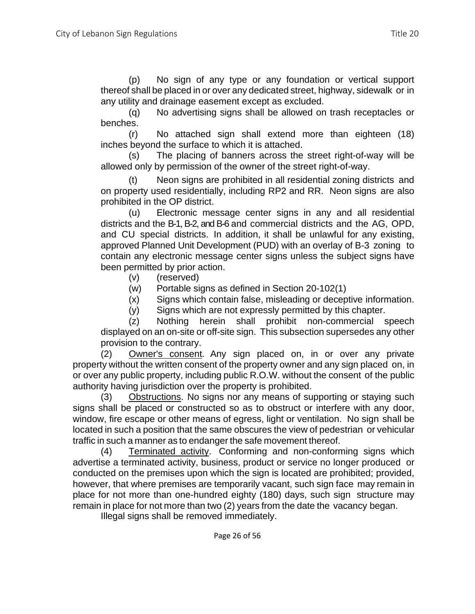(p) No sign of any type or any foundation or vertical support thereof shall be placed in or over any dedicated street, highway, sidewalk or in any utility and drainage easement except as excluded.

(q) No advertising signs shall be allowed on trash receptacles or benches.

(r) No attached sign shall extend more than eighteen (18) inches beyond the surface to which it is attached.

(s) The placing of banners across the street right-of-way will be allowed only by permission of the owner of the street right-of-way.

(t) Neon signs are prohibited in all residential zoning districts and on property used residentially, including RP2 and RR. Neon signs are also prohibited in the OP district.

(u) Electronic message center signs in any and all residential districts and the B-1, B-2, and B-6 and commercial districts and the AG, OPD, and CU special districts. In addition, it shall be unlawful for any existing, approved Planned Unit Development (PUD) with an overlay of B-3 zoning to contain any electronic message center signs unless the subject signs have been permitted by prior action.

- (v) (reserved)
- (w) Portable signs as defined in Section 20-102(1)
- (x) Signs which contain false, misleading or deceptive information.
- (y) Signs which are not expressly permitted by this chapter.

(z) Nothing herein shall prohibit non-commercial speech displayed on an on-site or off-site sign. This subsection supersedes any other provision to the contrary.

(2) Owner's consent. Any sign placed on, in or over any private property without the written consent of the property owner and any sign placed on, in or over any public property, including public R.O.W. without the consent of the public authority having jurisdiction over the property is prohibited.

(3) Obstructions. No signs nor any means of supporting or staying such signs shall be placed or constructed so as to obstruct or interfere with any door, window, fire escape or other means of egress, light or ventilation. No sign shall be located in such a position that the same obscures the view of pedestrian or vehicular traffic in such a manner as to endanger the safe movement thereof.

(4) Terminated activity. Conforming and non-conforming signs which advertise a terminated activity, business, product or service no longer produced or conducted on the premises upon which the sign is located are prohibited; provided, however, that where premises are temporarily vacant, such sign face may remain in place for not more than one-hundred eighty (180) days, such sign structure may remain in place for not more than two (2) years from the date the vacancy began.

Illegal signs shall be removed immediately.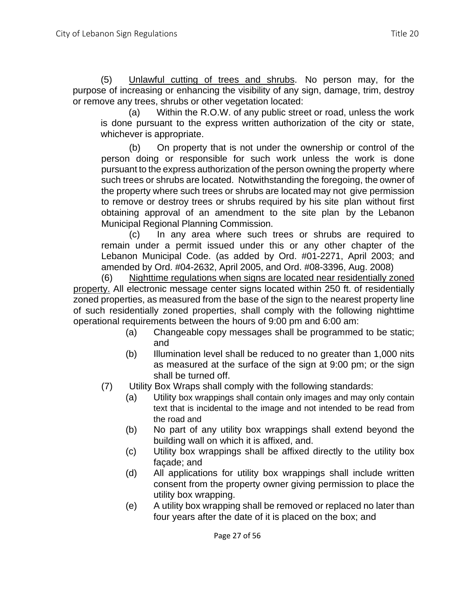(5) Unlawful cutting of trees and shrubs. No person may, for the purpose of increasing or enhancing the visibility of any sign, damage, trim, destroy or remove any trees, shrubs or other vegetation located:

(a) Within the R.O.W. of any public street or road, unless the work is done pursuant to the express written authorization of the city or state, whichever is appropriate.

(b) On property that is not under the ownership or control of the person doing or responsible for such work unless the work is done pursuant to the express authorization of the person owning the property where such trees or shrubs are located. Notwithstanding the foregoing, the owner of the property where such trees or shrubs are located may not give permission to remove or destroy trees or shrubs required by his site plan without first obtaining approval of an amendment to the site plan by the Lebanon Municipal Regional Planning Commission.

(c) In any area where such trees or shrubs are required to remain under a permit issued under this or any other chapter of the Lebanon Municipal Code. (as added by Ord. #01-2271, April 2003; and amended by Ord. #04-2632, April 2005, and Ord. #08-3396, Aug. 2008)

(6) Nighttime regulations when signs are located near residentially zoned property. All electronic message center signs located within 250 ft. of residentially zoned properties, as measured from the base of the sign to the nearest property line of such residentially zoned properties, shall comply with the following nighttime operational requirements between the hours of 9:00 pm and 6:00 am:

- (a) Changeable copy messages shall be programmed to be static; and
- (b) Illumination level shall be reduced to no greater than 1,000 nits as measured at the surface of the sign at 9:00 pm; or the sign shall be turned off.
- (7) Utility Box Wraps shall comply with the following standards:
	- (a) Utility box wrappings shall contain only images and may only contain text that is incidental to the image and not intended to be read from the road and
	- (b) No part of any utility box wrappings shall extend beyond the building wall on which it is affixed, and.
	- (c) Utility box wrappings shall be affixed directly to the utility box façade; and
	- (d) All applications for utility box wrappings shall include written consent from the property owner giving permission to place the utility box wrapping.
	- (e) A utility box wrapping shall be removed or replaced no later than four years after the date of it is placed on the box; and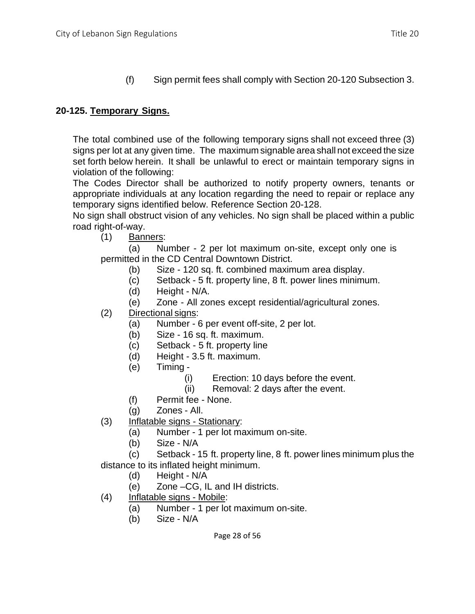(f) Sign permit fees shall comply with Section 20-120 Subsection 3.

# **20-125. Temporary Signs.**

The total combined use of the following temporary signs shall not exceed three (3) signs per lot at any given time. The maximum signable area shall not exceed the size set forth below herein. It shall be unlawful to erect or maintain temporary signs in violation of the following:

The Codes Director shall be authorized to notify property owners, tenants or appropriate individuals at any location regarding the need to repair or replace any temporary signs identified below. Reference Section 20-128.

No sign shall obstruct vision of any vehicles. No sign shall be placed within a public road right-of-way.

(1) Banners:

(a) Number - 2 per lot maximum on-site, except only one is permitted in the CD Central Downtown District.

- (b) Size 120 sq. ft. combined maximum area display.
- (c) Setback 5 ft. property line, 8 ft. power lines minimum.
- (d) Height N/A.
- (e) Zone All zones except residential/agricultural zones.
- (2) Directional signs:
	- (a) Number 6 per event off-site, 2 per lot.
	- (b) Size 16 sq. ft. maximum.
	- (c) Setback 5 ft. property line
	- (d) Height 3.5 ft. maximum.
	- (e) Timing
		- (i) Erection: 10 days before the event.
		- (ii) Removal: 2 days after the event.
	- (f) Permit fee None.
	- (g) Zones All.
- (3) Inflatable signs Stationary:
	- (a) Number 1 per lot maximum on-site.
	- (b) Size N/A

(c) Setback - 15 ft. property line, 8 ft. power lines minimum plus the distance to its inflated height minimum.

- (d) Height N/A
- (e) Zone –CG, IL and IH districts.
- (4) Inflatable signs Mobile:
	- (a) Number 1 per lot maximum on-site.
	- (b) Size N/A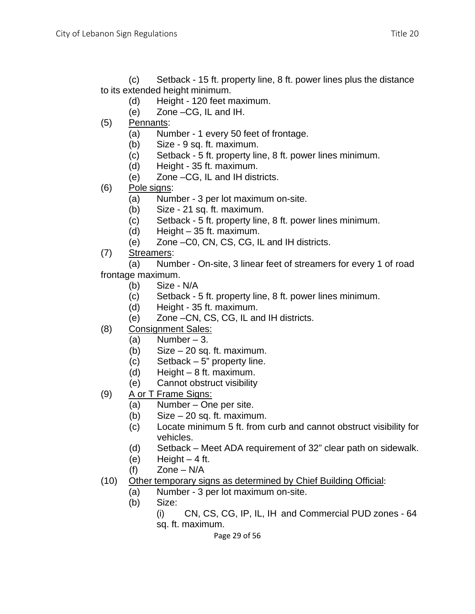(c) Setback - 15 ft. property line, 8 ft. power lines plus the distance to its extended height minimum.

- (d) Height 120 feet maximum.
- (e) Zone –CG, IL and IH.
- (5) Pennants:
	- (a) Number 1 every 50 feet of frontage.
	- (b) Size 9 sq. ft. maximum.
	- (c) Setback 5 ft. property line, 8 ft. power lines minimum.
	- (d) Height 35 ft. maximum.
	- (e) Zone –CG, IL and IH districts.
- (6) Pole signs:
	- (a) Number 3 per lot maximum on-site.
	- (b) Size 21 sq. ft. maximum.
	- (c) Setback 5 ft. property line, 8 ft. power lines minimum.
	- (d) Height 35 ft. maximum.
	- (e) Zone –C0, CN, CS, CG, IL and IH districts.
- (7) Streamers:

(a) Number - On-site, 3 linear feet of streamers for every 1 of road frontage maximum.

- (b) Size N/A
- (c) Setback 5 ft. property line, 8 ft. power lines minimum.
- (d) Height 35 ft. maximum.
- (e) Zone –CN, CS, CG, IL and IH districts.
- (8) Consignment Sales:
	- $(a)$  Number 3.
	- (b) Size 20 sq. ft. maximum.
	- (c) Setback 5" property line.
	- (d) Height 8 ft. maximum.
	- (e) Cannot obstruct visibility
- (9) A or T Frame Signs:
	- (a) Number One per site.
	- (b) Size 20 sq. ft. maximum.
	- (c) Locate minimum 5 ft. from curb and cannot obstruct visibility for vehicles.
	- (d) Setback Meet ADA requirement of 32" clear path on sidewalk.
	- (e) Height  $-4$  ft.
	- $(f)$  Zone N/A
- (10) Other temporary signs as determined by Chief Building Official:
	- (a) Number 3 per lot maximum on-site.
	- (b) Size:
		- (i) CN, CS, CG, IP, IL, IH and Commercial PUD zones 64 sq. ft. maximum.

Page 29 of 56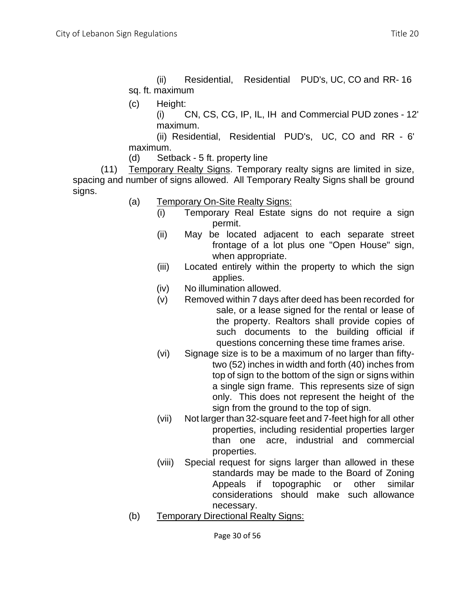(ii) Residential, Residential PUD's, UC, CO and RR- 16 sq. ft. maximum

(c) Height:

(i) CN, CS, CG, IP, IL, IH and Commercial PUD zones - 12' maximum.

(ii) Residential, Residential PUD's, UC, CO and RR - 6' maximum.

(d) Setback - 5 ft. property line

(11) Temporary Realty Signs. Temporary realty signs are limited in size, spacing and number of signs allowed. All Temporary Realty Signs shall be ground signs.

- (a) Temporary On-Site Realty Signs:
	- (i) Temporary Real Estate signs do not require a sign permit.
		- (ii) May be located adjacent to each separate street frontage of a lot plus one "Open House" sign, when appropriate.
		- (iii) Located entirely within the property to which the sign applies.
		- (iv) No illumination allowed.
		- (v) Removed within 7 days after deed has been recorded for sale, or a lease signed for the rental or lease of the property. Realtors shall provide copies of such documents to the building official if questions concerning these time frames arise.
		- (vi) Signage size is to be a maximum of no larger than fiftytwo (52) inches in width and forth (40) inches from top of sign to the bottom of the sign or signs within a single sign frame. This represents size of sign only. This does not represent the height of the sign from the ground to the top of sign.
		- (vii) Not larger than 32-square feet and 7-feet high for all other properties, including residential properties larger than one acre, industrial and commercial properties.
		- (viii) Special request for signs larger than allowed in these standards may be made to the Board of Zoning Appeals if topographic or other similar considerations should make such allowance necessary.
- (b) Temporary Directional Realty Signs:

Page 30 of 56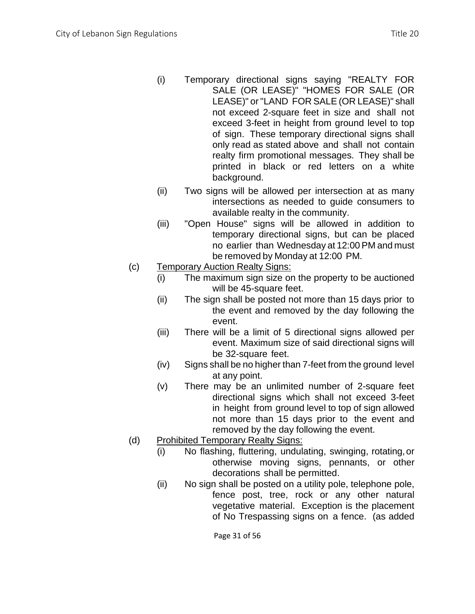- (i) Temporary directional signs saying "REALTY FOR SALE (OR LEASE)" "HOMES FOR SALE (OR LEASE)" or"LAND FOR SALE (OR LEASE)" shall not exceed 2-square feet in size and shall not exceed 3-feet in height from ground level to top of sign. These temporary directional signs shall only read as stated above and shall not contain realty firm promotional messages. They shall be printed in black or red letters on a white background.
- (ii) Two signs will be allowed per intersection at as many intersections as needed to guide consumers to available realty in the community.
- (iii) "Open House" signs will be allowed in addition to temporary directional signs, but can be placed no earlier than Wednesday at 12:00 PM and must be removed by Monday at 12:00 PM.
- (c) Temporary Auction Realty Signs:
	- (i) The maximum sign size on the property to be auctioned will be 45-square feet.
	- (ii) The sign shall be posted not more than 15 days prior to the event and removed by the day following the event.
	- (iii) There will be a limit of 5 directional signs allowed per event. Maximum size of said directional signs will be 32-square feet.
	- (iv) Signs shall be no higher than 7-feet from the ground level at any point.
	- (v) There may be an unlimited number of 2-square feet directional signs which shall not exceed 3-feet in height from ground level to top of sign allowed not more than 15 days prior to the event and removed by the day following the event.
- (d) Prohibited Temporary Realty Signs:
	- (i) No flashing, fluttering, undulating, swinging, rotating,or otherwise moving signs, pennants, or other decorations shall be permitted.
	- (ii) No sign shall be posted on a utility pole, telephone pole, fence post, tree, rock or any other natural vegetative material. Exception is the placement of No Trespassing signs on a fence. (as added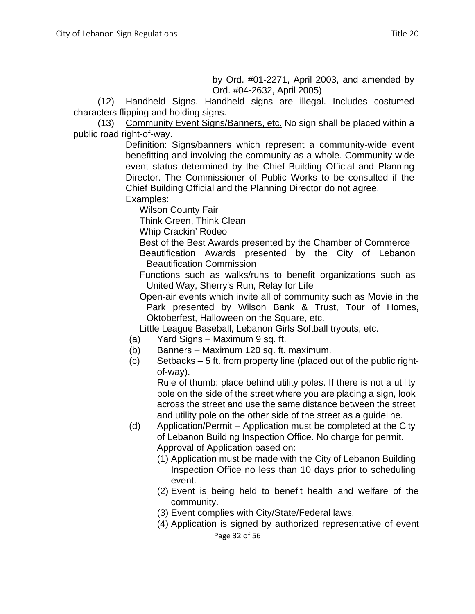by Ord. #01-2271, April 2003, and amended by Ord. #04-2632, April 2005)

(12) Handheld Signs. Handheld signs are illegal. Includes costumed characters flipping and holding signs.

(13) Community Event Signs/Banners, etc. No sign shall be placed within a public road right-of-way.

Definition: Signs/banners which represent a community-wide event benefitting and involving the community as a whole. Community-wide event status determined by the Chief Building Official and Planning Director. The Commissioner of Public Works to be consulted if the Chief Building Official and the Planning Director do not agree.

Examples:

Wilson County Fair

Think Green, Think Clean

Whip Crackin' Rodeo

Best of the Best Awards presented by the Chamber of Commerce Beautification Awards presented by the City of Lebanon Beautification Commission

Functions such as walks/runs to benefit organizations such as United Way, Sherry's Run, Relay for Life

Open-air events which invite all of community such as Movie in the Park presented by Wilson Bank & Trust, Tour of Homes, Oktoberfest, Halloween on the Square, etc.

Little League Baseball, Lebanon Girls Softball tryouts, etc.

- (a) Yard Signs Maximum 9 sq. ft.
- (b) Banners Maximum 120 sq. ft. maximum.
- (c) Setbacks 5 ft. from property line (placed out of the public rightof-way).

Rule of thumb: place behind utility poles. If there is not a utility pole on the side of the street where you are placing a sign, look across the street and use the same distance between the street and utility pole on the other side of the street as a guideline.

- (d) Application/Permit Application must be completed at the City of Lebanon Building Inspection Office. No charge for permit. Approval of Application based on:
	- (1) Application must be made with the City of Lebanon Building Inspection Office no less than 10 days prior to scheduling event.
	- (2) Event is being held to benefit health and welfare of the community.
	- (3) Event complies with City/State/Federal laws.
	- (4) Application is signed by authorized representative of event

Page 32 of 56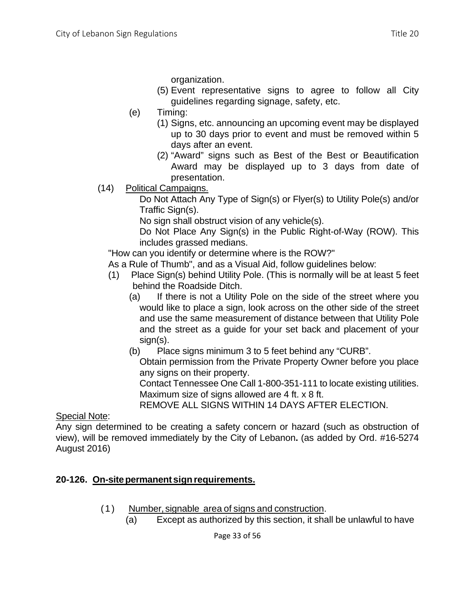organization.

- (5) Event representative signs to agree to follow all City guidelines regarding signage, safety, etc.
- (e) Timing:
	- (1) Signs, etc. announcing an upcoming event may be displayed up to 30 days prior to event and must be removed within 5 days after an event.
	- (2) "Award" signs such as Best of the Best or Beautification Award may be displayed up to 3 days from date of presentation.
- (14) Political Campaigns.

Do Not Attach Any Type of Sign(s) or Flyer(s) to Utility Pole(s) and/or Traffic Sign(s).

No sign shall obstruct vision of any vehicle(s).

Do Not Place Any Sign(s) in the Public Right-of-Way (ROW). This includes grassed medians.

"How can you identify or determine where is the ROW?"

As a Rule of Thumb", and as a Visual Aid, follow guidelines below:

- (1) Place Sign(s) behind Utility Pole. (This is normally will be at least 5 feet behind the Roadside Ditch.
	- (a) If there is not a Utility Pole on the side of the street where you would like to place a sign, look across on the other side of the street and use the same measurement of distance between that Utility Pole and the street as a guide for your set back and placement of your sign(s).
	- (b) Place signs minimum 3 to 5 feet behind any "CURB".

Obtain permission from the Private Property Owner before you place any signs on their property.

Contact Tennessee One Call 1-800-351-111 to locate existing utilities. Maximum size of signs allowed are 4 ft. x 8 ft.

REMOVE ALL SIGNS WITHIN 14 DAYS AFTER ELECTION.

Special Note:

Any sign determined to be creating a safety concern or hazard (such as obstruction of view), will be removed immediately by the City of Lebanon**.** (as added by Ord. #16-5274 August 2016)

# **20-126. On-sitepermanent signrequirements.**

- (1) Number, signable area of signs and construction.
	- (a) Except as authorized by this section, it shall be unlawful to have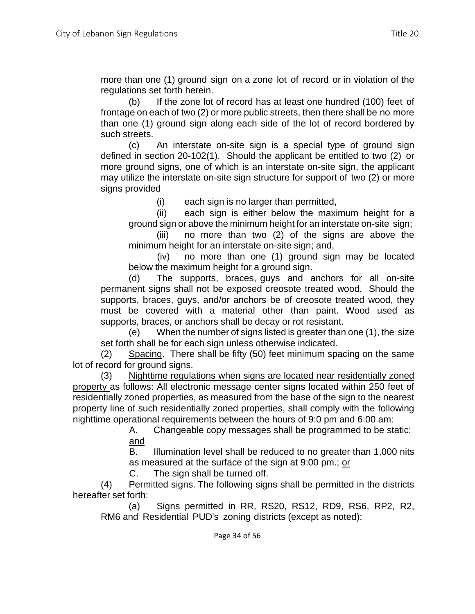more than one (1) ground sign on a zone lot of record or in violation of the regulations set forth herein.

(b) If the zone lot of record has at least one hundred (100) feet of frontage on each of two (2) or more public streets, then there shall be no more than one (1) ground sign along each side of the lot of record bordered by such streets.

(c) An interstate on-site sign is a special type of ground sign defined in section 20-102(1). Should the applicant be entitled to two (2) or more ground signs, one of which is an interstate on-site sign, the applicant may utilize the interstate on-site sign structure for support of two (2) or more signs provided

(i) each sign is no larger than permitted,

(ii) each sign is either below the maximum height for a ground sign or above the minimum height for an interstate on-site sign;

(iii) no more than two (2) of the signs are above the minimum height for an interstate on-site sign; and,

(iv) no more than one (1) ground sign may be located below the maximum height for a ground sign.

(d) The supports, braces, guys and anchors for all on-site permanent signs shall not be exposed creosote treated wood. Should the supports, braces, guys, and/or anchors be of creosote treated wood, they must be covered with a material other than paint. Wood used as supports, braces, or anchors shall be decay or rot resistant.

(e) When the number of signs listed is greater than one (1), the size set forth shall be for each sign unless otherwise indicated.

(2) Spacing. There shall be fifty (50) feet minimum spacing on the same lot of record for ground signs.

(3) Nighttime regulations when signs are located near residentially zoned property as follows: All electronic message center signs located within 250 feet of residentially zoned properties, as measured from the base of the sign to the nearest property line of such residentially zoned properties, shall comply with the following nighttime operational requirements between the hours of 9:0 pm and 6:00 am:

A. Changeable copy messages shall be programmed to be static; and

B. Illumination level shall be reduced to no greater than 1,000 nits as measured at the surface of the sign at 9:00 pm.; or

C. The sign shall be turned off.

(4) Permitted signs. The following signs shall be permitted in the districts hereafter set forth:

(a) Signs permitted in RR, RS20, RS12, RD9, RS6, RP2, R2, RM6 and Residential PUD's zoning districts (except as noted):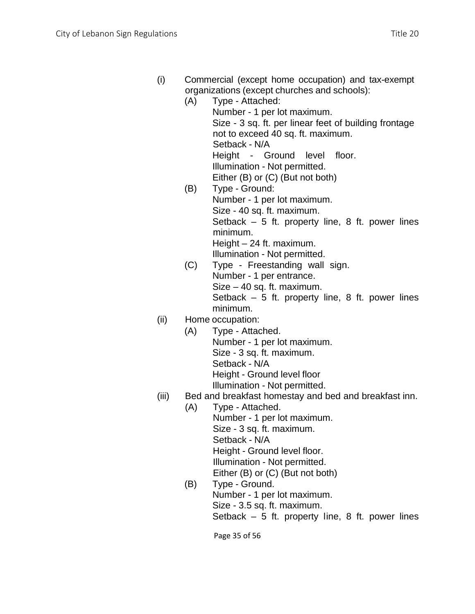| (i) | Commercial (except home occupation) and tax-exempt |
|-----|----------------------------------------------------|
|     | organizations (except churches and schools):       |

|     | 0.98.1.28.10.10 (0.100pt 0.18.10.100 8.18 00.100.10). |
|-----|-------------------------------------------------------|
| (A) | Type - Attached:                                      |
|     | Number - 1 per lot maximum.                           |
|     | Size - 3 sq. ft. per linear feet of building frontage |
|     | not to exceed 40 sq. ft. maximum.                     |
|     | Setback - N/A                                         |
|     | Height - Ground level floor.                          |
|     | Illumination - Not permitted.                         |
|     | Either (B) or (C) (But not both)                      |
| (B) | Type - Ground:                                        |
|     | Number - 1 per lot maximum.                           |
|     | Size - 40 sq. ft. maximum.                            |
|     | Setback $-5$ ft. property line, 8 ft. power lines     |
|     | minimum.                                              |
|     | Height $-24$ ft. maximum.                             |
|     | Illumination - Not permitted.                         |

(C) Type - Freestanding wall sign. Number - 1 per entrance. Size – 40 sq. ft. maximum. Setback – 5 ft. property line, 8 ft. power lines minimum.

## (ii) Home occupation:

- (A) Type Attached. Number - 1 per lot maximum. Size - 3 sq. ft. maximum. Setback - N/A Height - Ground level floor Illumination - Not permitted.
- (iii) Bed and breakfast homestay and bed and breakfast inn.
	- (A) Type Attached. Number - 1 per lot maximum. Size - 3 sq. ft. maximum. Setback - N/A Height - Ground level floor. Illumination - Not permitted. Either (B) or (C) (But not both)
	- (B) Type Ground. Number - 1 per lot maximum. Size - 3.5 sq. ft. maximum. Setback  $-5$  ft. property line, 8 ft. power lines

Page 35 of 56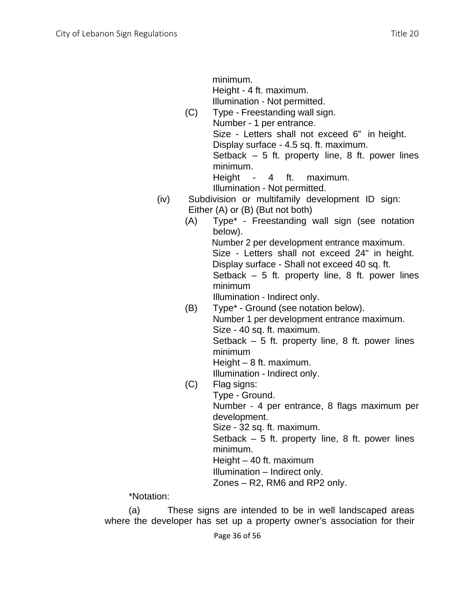minimum. Height - 4 ft. maximum. Illumination - Not permitted.

- (C) Type Freestanding wall sign. Number - 1 per entrance. Size - Letters shall not exceed 6" in height. Display surface - 4.5 sq. ft. maximum. Setback  $-5$  ft. property line, 8 ft. power lines minimum. Height - 4 ft. maximum. Illumination - Not permitted.
- (iv) Subdivision or multifamily development ID sign: Either (A) or (B) (But not both)
	- (A) Type\* Freestanding wall sign (see notation below). Number 2 per development entrance maximum. Size - Letters shall not exceed 24" in height. Display surface - Shall not exceed 40 sq. ft. Setback  $-5$  ft. property line, 8 ft. power lines minimum Illumination - Indirect only.
	- (B) Type\* Ground (see notation below). Number 1 per development entrance maximum. Size - 40 sq. ft. maximum. Setback  $-5$  ft. property line, 8 ft. power lines minimum Height – 8 ft. maximum.

Illumination - Indirect only.

(C) Flag signs: Type - Ground. Number - 4 per entrance, 8 flags maximum per

development.

Size - 32 sq. ft. maximum.

Setback  $-5$  ft. property line, 8 ft. power lines minimum.

Height – 40 ft. maximum

Illumination – Indirect only.

Zones – R2, RM6 and RP2 only.

\*Notation:

(a) These signs are intended to be in well landscaped areas where the developer has set up a property owner's association for their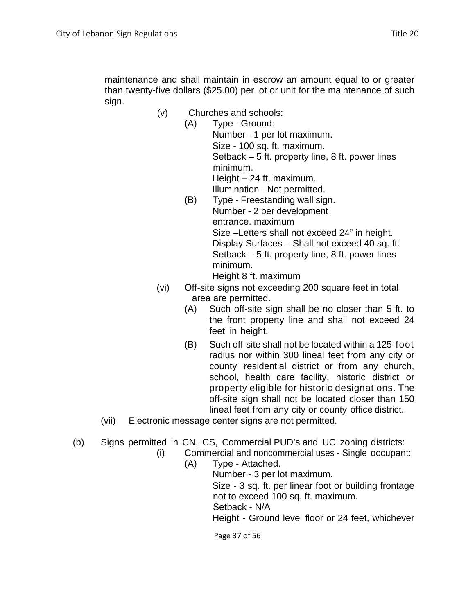sign.

- (v) Churches and schools:
	- (A) Type Ground: Number - 1 per lot maximum. Size - 100 sq. ft. maximum. Setback – 5 ft. property line, 8 ft. power lines minimum. Height – 24 ft. maximum. Illumination - Not permitted.
	- (B) Type Freestanding wall sign. Number - 2 per development entrance. maximum Size –Letters shall not exceed 24" in height. Display Surfaces – Shall not exceed 40 sq. ft. Setback – 5 ft. property line, 8 ft. power lines minimum. Height 8 ft. maximum
- (vi) Off-site signs not exceeding 200 square feet in total area are permitted.
	- (A) Such off-site sign shall be no closer than 5 ft. to the front property line and shall not exceed 24 feet in height.
	- (B) Such off-site shall not be located within a 125-foot radius nor within 300 lineal feet from any city or county residential district or from any church, school, health care facility, historic district or property eligible for historic designations. The off-site sign shall not be located closer than 150 lineal feet from any city or county office district.
- (vii) Electronic message center signs are not permitted.
- (b) Signs permitted in CN, CS, Commercial PUD's and UC zoning districts:
	- (i) Commercial and noncommercial uses Single occupant:
		- (A) Type Attached. Number - 3 per lot maximum. Size - 3 sq. ft. per linear foot or building frontage not to exceed 100 sq. ft. maximum. Setback - N/A Height - Ground level floor or 24 feet, whichever

Page 37 of 56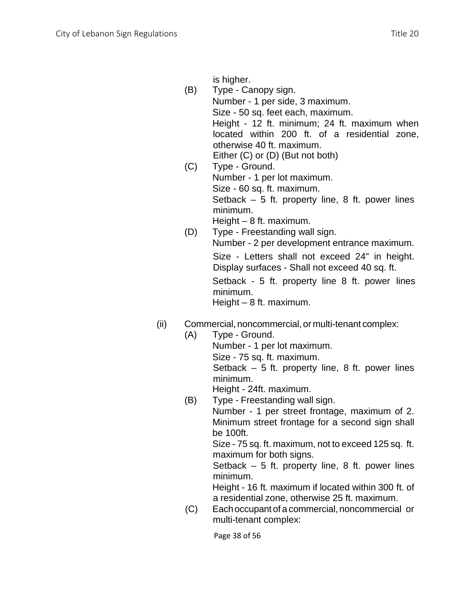is higher.

- (B) Type Canopy sign. Number - 1 per side, 3 maximum. Size - 50 sq. feet each, maximum. Height - 12 ft. minimum; 24 ft. maximum when located within 200 ft. of a residential zone, otherwise 40 ft. maximum. Either (C) or (D) (But not both)
- (C) Type Ground. Number - 1 per lot maximum. Size - 60 sq. ft. maximum. Setback  $-5$  ft. property line, 8 ft. power lines minimum. Height – 8 ft. maximum.
- (D) Type Freestanding wall sign. Number - 2 per development entrance maximum. Size - Letters shall not exceed 24" in height. Display surfaces - Shall not exceed 40 sq. ft. Setback - 5 ft. property line 8 ft. power lines minimum. Height – 8 ft. maximum.
- (ii) Commercial, noncommercial, or multi-tenant complex:
	- (A) Type Ground. Number - 1 per lot maximum. Size - 75 sq. ft. maximum. Setback  $-5$  ft. property line, 8 ft. power lines minimum. Height - 24ft. maximum.
	- (B) Type Freestanding wall sign.

Number - 1 per street frontage, maximum of 2. Minimum street frontage for a second sign shall be 100ft.

Size - 75 sq. ft. maximum, not to exceed 125 sq. ft. maximum for both signs.

Setback  $-5$  ft. property line, 8 ft. power lines minimum.

Height - 16 ft. maximum if located within 300 ft. of a residential zone, otherwise 25 ft. maximum.

(C) Eachoccupant of a commercial, noncommercial or multi-tenant complex:

Page 38 of 56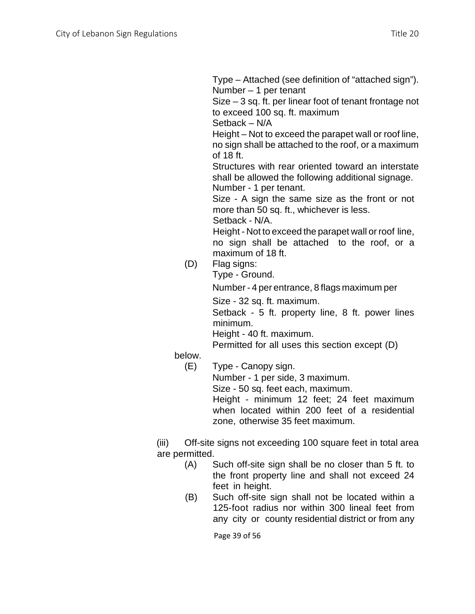Type – Attached (see definition of "attached sign"). Number – 1 per tenant

Size – 3 sq. ft. per linear foot of tenant frontage not to exceed 100 sq. ft. maximum

Setback – N/A

Height – Not to exceed the parapet wall or roof line, no sign shall be attached to the roof, or a maximum of 18 ft.

Structures with rear oriented toward an interstate shall be allowed the following additional signage. Number - 1 per tenant.

Size - A sign the same size as the front or not more than 50 sq. ft., whichever is less. Setback - N/A.

Height - Not to exceed the parapet wall or roof line, no sign shall be attached to the roof, or a maximum of 18 ft.

- (D) Flag signs:
	- Type Ground.

Number - 4 per entrance, 8 flags maximum per

Size - 32 sq. ft. maximum.

Setback - 5 ft. property line, 8 ft. power lines minimum.

Height - 40 ft. maximum.

Permitted for all uses this section except (D)

below.

(E) Type - Canopy sign.

Number - 1 per side, 3 maximum.

Size - 50 sq. feet each, maximum.

Height - minimum 12 feet; 24 feet maximum when located within 200 feet of a residential zone, otherwise 35 feet maximum.

(iii) Off-site signs not exceeding 100 square feet in total area are permitted.

- (A) Such off-site sign shall be no closer than 5 ft. to the front property line and shall not exceed 24 feet in height.
- (B) Such off-site sign shall not be located within a 125-foot radius nor within 300 lineal feet from any city or county residential district or from any

Page 39 of 56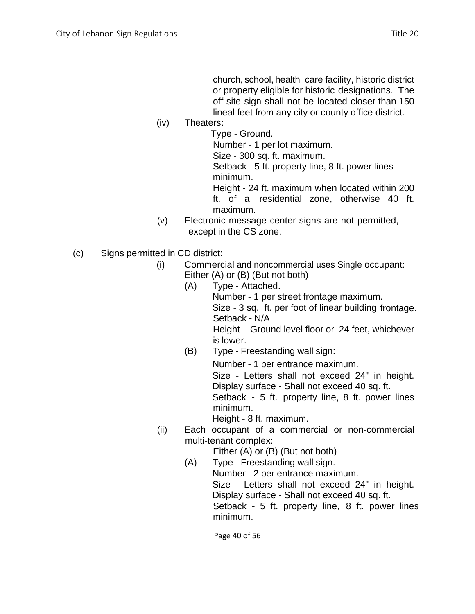church, school, health care facility, historic district or property eligible for historic designations. The off-site sign shall not be located closer than 150 lineal feet from any city or county office district.

(iv) Theaters:

Type - Ground. Number - 1 per lot maximum. Size - 300 sq. ft. maximum.

Setback - 5 ft. property line, 8 ft. power lines minimum.

Height - 24 ft. maximum when located within 200 ft. of a residential zone, otherwise 40 ft. maximum.

- (v) Electronic message center signs are not permitted, except in the CS zone.
- (c) Signs permitted in CD district:
	- (i) Commercial and noncommercial uses Single occupant: Either (A) or (B) (But not both)
		- (A) Type Attached. Number - 1 per street frontage maximum. Size - 3 sq. ft. per foot of linear building frontage. Setback - N/A Height - Ground level floor or 24 feet, whichever is lower.
		- (B) Type Freestanding wall sign:

Number - 1 per entrance maximum.

Size - Letters shall not exceed 24" in height. Display surface - Shall not exceed 40 sq. ft.

Setback - 5 ft. property line, 8 ft. power lines minimum.

Height - 8 ft. maximum.

(ii) Each occupant of a commercial or non-commercial multi-tenant complex:

Either (A) or (B) (But not both)

(A) Type - Freestanding wall sign.

Number - 2 per entrance maximum. Size - Letters shall not exceed 24" in height. Display surface - Shall not exceed 40 sq. ft. Setback - 5 ft. property line, 8 ft. power lines minimum.

Page 40 of 56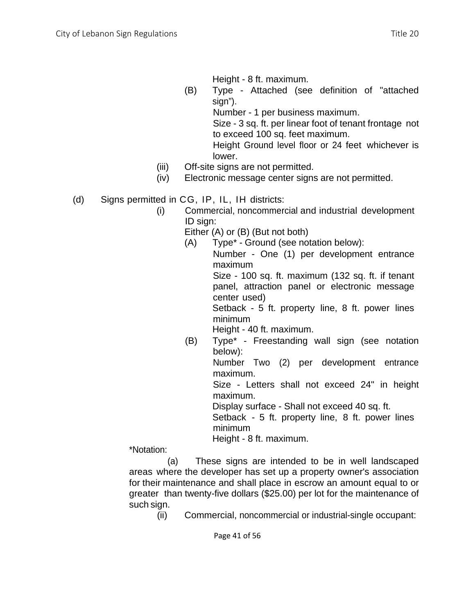Height - 8 ft. maximum.

(B) Type - Attached (see definition of "attached sign").

Number - 1 per business maximum.

Size - 3 sq. ft. per linear foot of tenant frontage not to exceed 100 sq. feet maximum.

Height Ground level floor or 24 feet whichever is lower.

- (iii) Off-site signs are not permitted.
- (iv) Electronic message center signs are not permitted.
- (d) Signs permitted in CG, IP, IL, IH districts:
	- (i) Commercial, noncommercial and industrial development ID sign:
		- Either (A) or (B) (But not both)
		- (A) Type\* Ground (see notation below): Number - One (1) per development entrance

maximum Size - 100 sq. ft. maximum (132 sq. ft. if tenant panel, attraction panel or electronic message center used)

Setback - 5 ft. property line, 8 ft. power lines minimum

Height - 40 ft. maximum.

(B) Type\* - Freestanding wall sign (see notation below):

Number Two (2) per development entrance maximum.

Size - Letters shall not exceed 24" in height maximum.

Display surface - Shall not exceed 40 sq. ft.

Setback - 5 ft. property line, 8 ft. power lines minimum

Height - 8 ft. maximum.

\*Notation:

(a) These signs are intended to be in well landscaped areas where the developer has set up a property owner's association for their maintenance and shall place in escrow an amount equal to or greater than twenty-five dollars (\$25.00) per lot for the maintenance of such sign.

(ii) Commercial, noncommercial or industrial-single occupant: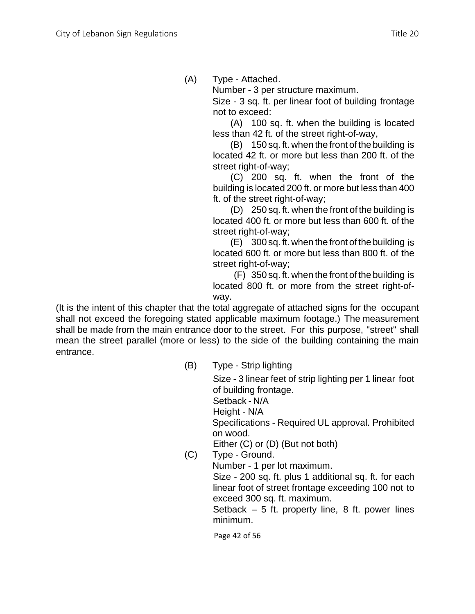(A) Type - Attached.

Number - 3 per structure maximum.

Size - 3 sq. ft. per linear foot of building frontage not to exceed:

(A) 100 sq. ft. when the building is located less than 42 ft. of the street right-of-way,

(B) 150 sq. ft. when the front of the building is located 42 ft. or more but less than 200 ft. of the street right-of-way;

(C) 200 sq. ft. when the front of the building is located 200 ft. or more but less than 400 ft. of the street right-of-way;

(D) 250 sq. ft. when the front of the building is located 400 ft. or more but less than 600 ft. of the street right-of-way;

(E) 300 sq. ft. when the front of the building is located 600 ft. or more but less than 800 ft. of the street right-of-way;

(F) 350 sq. ft. when the front of the building is located 800 ft. or more from the street right-ofway.

(It is the intent of this chapter that the total aggregate of attached signs for the occupant shall not exceed the foregoing stated applicable maximum footage.) The measurement shall be made from the main entrance door to the street. For this purpose, "street" shall mean the street parallel (more or less) to the side of the building containing the main entrance.

(B) Type - Strip lighting

Size - 3 linear feet of strip lighting per 1 linear foot of building frontage.

Setback - N/A

Height - N/A

Specifications - Required UL approval. Prohibited on wood.

Either (C) or (D) (But not both)

(C) Type - Ground. Number - 1 per lot maximum. Size - 200 sq. ft. plus 1 additional sq. ft. for each linear foot of street frontage exceeding 100 not to exceed 300 sq. ft. maximum. Setback  $-5$  ft. property line, 8 ft. power lines minimum.

Page 42 of 56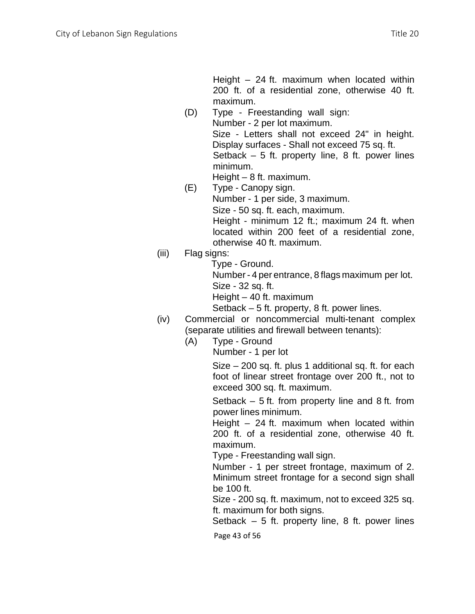Height – 24 ft. maximum when located within 200 ft. of a residential zone, otherwise 40 ft. maximum.

- (D) Type Freestanding wall sign: Number - 2 per lot maximum. Size - Letters shall not exceed 24" in height. Display surfaces - Shall not exceed 75 sq. ft. Setback  $-5$  ft. property line, 8 ft. power lines minimum.
	- Height 8 ft. maximum.
- (E) Type Canopy sign. Number - 1 per side, 3 maximum. Size - 50 sq. ft. each, maximum. Height - minimum 12 ft.; maximum 24 ft. when located within 200 feet of a residential zone, otherwise 40 ft. maximum.
- (iii) Flag signs:
	- Type Ground.

Number - 4 per entrance, 8 flags maximum per lot. Size - 32 sq. ft.

Height – 40 ft. maximum

Setback – 5 ft. property, 8 ft. power lines.

- (iv) Commercial or noncommercial multi-tenant complex (separate utilities and firewall between tenants):
	- (A) Type Ground

Number - 1 per lot

Size – 200 sq. ft. plus 1 additional sq. ft. for each foot of linear street frontage over 200 ft., not to exceed 300 sq. ft. maximum.

Setback – 5 ft. from property line and 8 ft. from power lines minimum.

Height – 24 ft. maximum when located within 200 ft. of a residential zone, otherwise 40 ft. maximum.

Type - Freestanding wall sign.

Number - 1 per street frontage, maximum of 2. Minimum street frontage for a second sign shall be 100 ft.

Size - 200 sq. ft. maximum, not to exceed 325 sq. ft. maximum for both signs.

Setback  $-5$  ft. property line, 8 ft. power lines

Page 43 of 56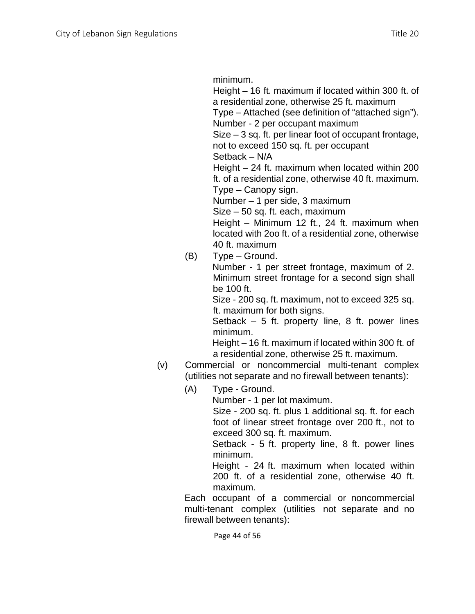minimum.

Height – 16 ft. maximum if located within 300 ft. of a residential zone, otherwise 25 ft. maximum

Type – Attached (see definition of "attached sign"). Number - 2 per occupant maximum

Size – 3 sq. ft. per linear foot of occupant frontage, not to exceed 150 sq. ft. per occupant

Setback – N/A

Height – 24 ft. maximum when located within 200 ft. of a residential zone, otherwise 40 ft. maximum. Type – Canopy sign.

Number – 1 per side, 3 maximum

Size – 50 sq. ft. each, maximum

Height – Minimum 12 ft., 24 ft. maximum when located with 2oo ft. of a residential zone, otherwise 40 ft. maximum

(B) Type – Ground.

Number - 1 per street frontage, maximum of 2. Minimum street frontage for a second sign shall be 100 ft.

Size - 200 sq. ft. maximum, not to exceed 325 sq. ft. maximum for both signs.

Setback  $-5$  ft. property line, 8 ft. power lines minimum.

Height – 16 ft. maximum if located within 300 ft. of a residential zone, otherwise 25 ft. maximum.

- (v) Commercial or noncommercial multi-tenant complex (utilities not separate and no firewall between tenants):
	- (A) Type Ground.

Number - 1 per lot maximum.

Size - 200 sq. ft. plus 1 additional sq. ft. for each foot of linear street frontage over 200 ft., not to exceed 300 sq. ft. maximum.

Setback - 5 ft. property line, 8 ft. power lines minimum.

Height - 24 ft. maximum when located within 200 ft. of a residential zone, otherwise 40 ft. maximum.

Each occupant of a commercial or noncommercial multi-tenant complex (utilities not separate and no firewall between tenants):

Page 44 of 56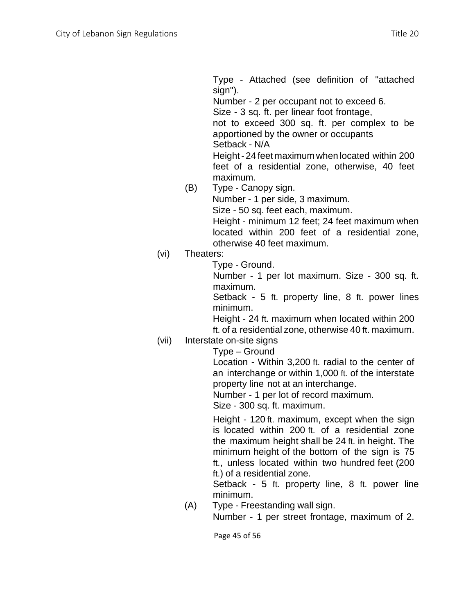Type - Attached (see definition of "attached sign").

Number - 2 per occupant not to exceed 6. Size - 3 sq. ft. per linear foot frontage, not to exceed 300 sq. ft. per complex to be apportioned by the owner or occupants Setback - N/A Height- 24 feet maximum when located within 200 feet of a residential zone, otherwise, 40 feet

- maximum. (B) Type - Canopy sign. Number - 1 per side, 3 maximum. Size - 50 sq. feet each, maximum. Height - minimum 12 feet; 24 feet maximum when located within 200 feet of a residential zone, otherwise 40 feet maximum.
- (vi) Theaters:

Type - Ground.

Number - 1 per lot maximum. Size - 300 sq. ft. maximum.

Setback - 5 ft. property line, 8 ft. power lines minimum.

Height - 24 ft. maximum when located within 200 ft. of a residential zone, otherwise 40 ft. maximum.

## (vii) Interstate on-site signs

Type – Ground

Location - Within 3,200 ft. radial to the center of an interchange or within 1,000 ft. of the interstate property line not at an interchange.

Number - 1 per lot of record maximum.

Size - 300 sq. ft. maximum.

Height - 120 ft. maximum, except when the sign is located within 200 ft. of a residential zone the maximum height shall be 24 ft. in height. The minimum height of the bottom of the sign is 75 ft., unless located within two hundred feet (200 ft.) of a residential zone.

Setback - 5 ft. property line, 8 ft. power line minimum.

(A) Type - Freestanding wall sign.

Number - 1 per street frontage, maximum of 2.

Page 45 of 56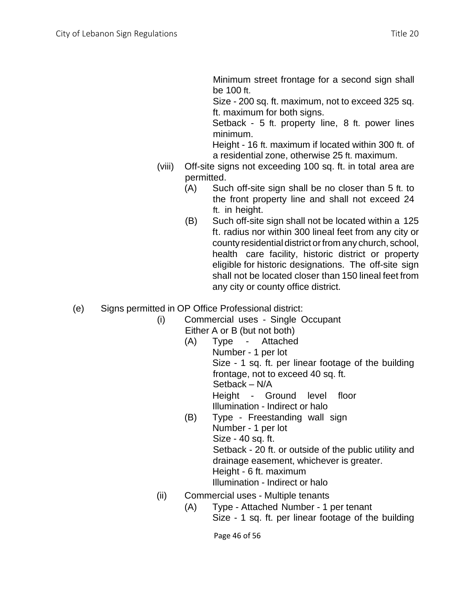Minimum street frontage for a second sign shall be 100 ft.

Size - 200 sq. ft. maximum, not to exceed 325 sq. ft. maximum for both signs.

Setback - 5 ft. property line, 8 ft. power lines minimum.

Height - 16 ft. maximum if located within 300 ft. of a residential zone, otherwise 25 ft. maximum.

- (viii) Off-site signs not exceeding 100 sq. ft. in total area are permitted.
	- (A) Such off-site sign shall be no closer than 5 ft. to the front property line and shall not exceed 24 ft. in height.
	- (B) Such off-site sign shall not be located within a 125 ft. radius nor within 300 lineal feet from any city or county residential district or from any church, school, health care facility, historic district or property eligible for historic designations. The off-site sign shall not be located closer than 150 lineal feet from any city or county office district.
- (e) Signs permitted in OP Office Professional district:
	- (i) Commercial uses Single Occupant
		- Either A or B (but not both)
			- (A) Type Attached Number - 1 per lot Size - 1 sq. ft. per linear footage of the building frontage, not to exceed 40 sq. ft. Setback – N/A Height - Ground level floor Illumination - Indirect or halo
			- (B) Type Freestanding wall sign Number - 1 per lot Size - 40 sq. ft. Setback - 20 ft. or outside of the public utility and drainage easement, whichever is greater. Height - 6 ft. maximum Illumination - Indirect or halo
	- (ii) Commercial uses Multiple tenants
		- (A) Type Attached Number 1 per tenant Size - 1 sq. ft. per linear footage of the building

Page 46 of 56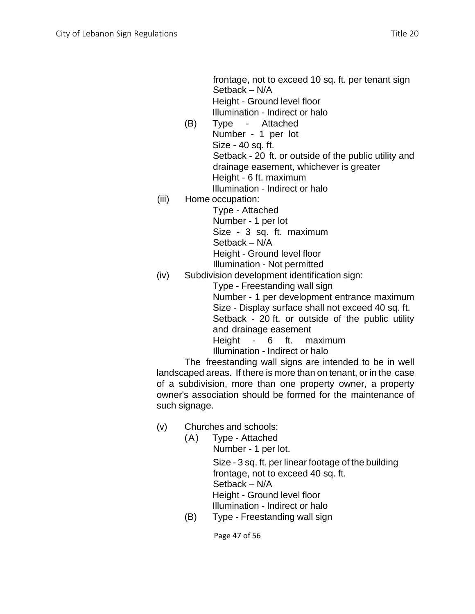frontage, not to exceed 10 sq. ft. per tenant sign Setback – N/A Height - Ground level floor Illumination - Indirect or halo

(B) Type - Attached Number - 1 per lot Size - 40 sq. ft. Setback - 20 ft. or outside of the public utility and drainage easement, whichever is greater Height - 6 ft. maximum

Illumination - Indirect or halo

(iii) Home occupation:

Type - Attached Number - 1 per lot

Size - 3 sq. ft. maximum

Setback – N/A

Height - Ground level floor

Illumination - Not permitted

(iv) Subdivision development identification sign:

Type - Freestanding wall sign

Number - 1 per development entrance maximum Size - Display surface shall not exceed 40 sq. ft. Setback - 20 ft. or outside of the public utility and drainage easement

Height - 6 ft. maximum

Illumination - Indirect or halo

The freestanding wall signs are intended to be in well landscaped areas. If there is more than on tenant, or in the case of a subdivision, more than one property owner, a property owner's association should be formed for the maintenance of such signage.

- (v) Churches and schools:
	- (A) Type Attached Number - 1 per lot.

Size - 3 sq. ft. per linear footage of the building frontage, not to exceed 40 sq. ft. Setback – N/A Height - Ground level floor Illumination - Indirect or halo

(B) Type - Freestanding wall sign

Page 47 of 56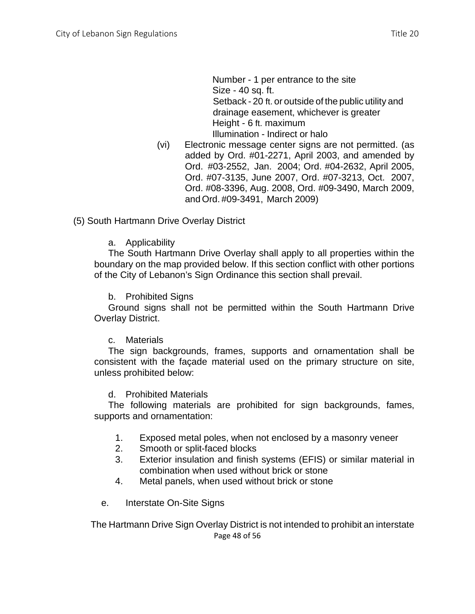Number - 1 per entrance to the site Size - 40 sq. ft. Setback - 20 ft. or outside of the public utility and drainage easement, whichever is greater Height - 6 ft. maximum Illumination - Indirect or halo

(vi) Electronic message center signs are not permitted. (as added by Ord. #01-2271, April 2003, and amended by Ord. #03-2552, Jan. 2004; Ord. #04-2632, April 2005, Ord. #07-3135, June 2007, Ord. #07-3213, Oct. 2007, Ord. #08-3396, Aug. 2008, Ord. #09-3490, March 2009, and Ord. #09-3491, March 2009)

(5) South Hartmann Drive Overlay District

#### a. Applicability

The South Hartmann Drive Overlay shall apply to all properties within the boundary on the map provided below. If this section conflict with other portions of the City of Lebanon's Sign Ordinance this section shall prevail.

#### b. Prohibited Signs

Ground signs shall not be permitted within the South Hartmann Drive Overlay District.

#### c. Materials

The sign backgrounds, frames, supports and ornamentation shall be consistent with the façade material used on the primary structure on site, unless prohibited below:

#### d. Prohibited Materials

The following materials are prohibited for sign backgrounds, fames, supports and ornamentation:

- 1. Exposed metal poles, when not enclosed by a masonry veneer
- 2. Smooth or split-faced blocks
- 3. Exterior insulation and finish systems (EFIS) or similar material in combination when used without brick or stone
- 4. Metal panels, when used without brick or stone
- e. Interstate On-Site Signs

Page 48 of 56 The Hartmann Drive Sign Overlay District is not intended to prohibit an interstate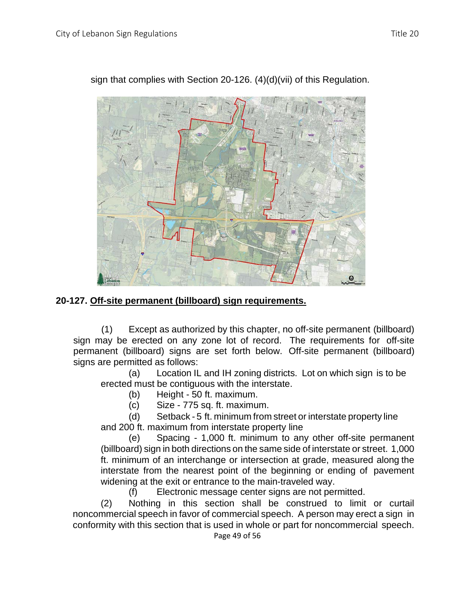

sign that complies with Section 20-126. (4)(d)(vii) of this Regulation.

### **20-127. Off-site permanent (billboard) sign requirements.**

(1) Except as authorized by this chapter, no off-site permanent (billboard) sign may be erected on any zone lot of record. The requirements for off-site permanent (billboard) signs are set forth below. Off-site permanent (billboard) signs are permitted as follows:

(a) Location IL and IH zoning districts. Lot on which sign is to be erected must be contiguous with the interstate.

(b) Height - 50 ft. maximum.

(c) Size - 775 sq. ft. maximum.

(d) Setback - 5 ft. minimum from street or interstate property line and 200 ft. maximum from interstate property line

(e) Spacing - 1,000 ft. minimum to any other off-site permanent (billboard) sign in both directions on the same side of interstate or street. 1,000 ft. minimum of an interchange or intersection at grade, measured along the interstate from the nearest point of the beginning or ending of pavement widening at the exit or entrance to the main-traveled way.

(f) Electronic message center signs are not permitted.

(2) Nothing in this section shall be construed to limit or curtail noncommercial speech in favor of commercial speech. A person may erect a sign in conformity with this section that is used in whole or part for noncommercial speech.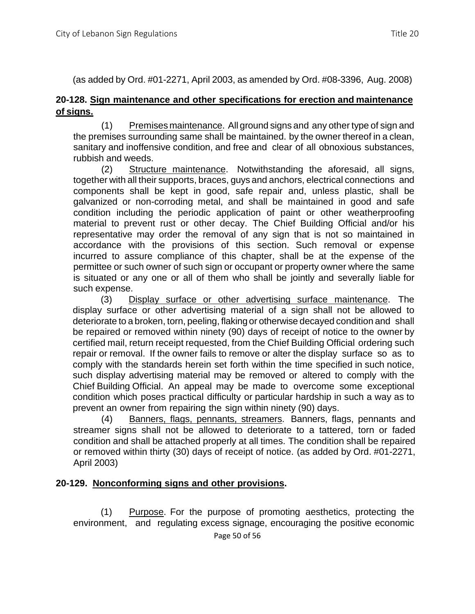(as added by Ord. #01-2271, April 2003, as amended by Ord. #08-3396, Aug. 2008)

## **20-128. Sign maintenance and other specifications for erection and maintenance of signs.**

(1) Premises maintenance. All ground signs and any other type of sign and the premises surrounding same shall be maintained. by the owner thereof in a clean, sanitary and inoffensive condition, and free and clear of all obnoxious substances, rubbish and weeds.

(2) Structure maintenance. Notwithstanding the aforesaid, all signs, together with all their supports, braces, guys and anchors, electrical connections and components shall be kept in good, safe repair and, unless plastic, shall be galvanized or non-corroding metal, and shall be maintained in good and safe condition including the periodic application of paint or other weatherproofing material to prevent rust or other decay. The Chief Building Official and/or his representative may order the removal of any sign that is not so maintained in accordance with the provisions of this section. Such removal or expense incurred to assure compliance of this chapter, shall be at the expense of the permittee or such owner of such sign or occupant or property owner where the same is situated or any one or all of them who shall be jointly and severally liable for such expense.

(3) Display surface or other advertising surface maintenance. The display surface or other advertising material of a sign shall not be allowed to deteriorate to a broken, torn, peeling, flaking or otherwise decayed condition and shall be repaired or removed within ninety (90) days of receipt of notice to the owner by certified mail, return receipt requested, from the Chief Building Official ordering such repair or removal. If the owner fails to remove or alter the display surface so as to comply with the standards herein set forth within the time specified in such notice, such display advertising material may be removed or altered to comply with the Chief Building Official. An appeal may be made to overcome some exceptional condition which poses practical difficulty or particular hardship in such a way as to prevent an owner from repairing the sign within ninety (90) days.

(4) Banners, flags, pennants, streamers. Banners, flags, pennants and streamer signs shall not be allowed to deteriorate to a tattered, torn or faded condition and shall be attached properly at all times. The condition shall be repaired or removed within thirty (30) days of receipt of notice. (as added by Ord. #01-2271, April 2003)

## **20-129. Nonconforming signs and other provisions.**

(1) Purpose. For the purpose of promoting aesthetics, protecting the environment, and regulating excess signage, encouraging the positive economic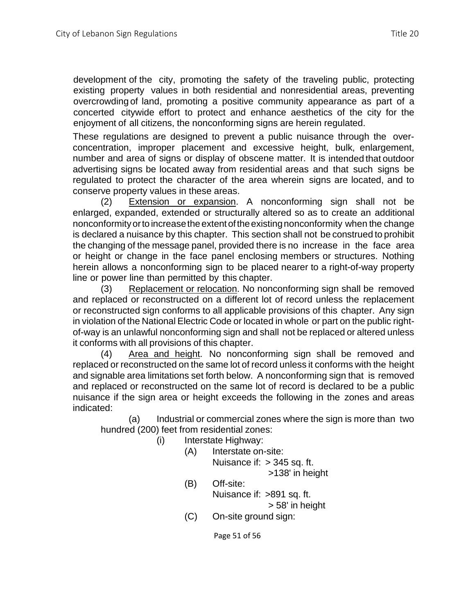development of the city, promoting the safety of the traveling public, protecting existing property values in both residential and nonresidential areas, preventing overcrowding of land, promoting a positive community appearance as part of a concerted citywide effort to protect and enhance aesthetics of the city for the enjoyment of all citizens, the nonconforming signs are herein regulated.

These regulations are designed to prevent a public nuisance through the overconcentration, improper placement and excessive height, bulk, enlargement, number and area of signs or display of obscene matter. It is intended that outdoor advertising signs be located away from residential areas and that such signs be regulated to protect the character of the area wherein signs are located, and to conserve property values in these areas.

(2) Extension or expansion. A nonconforming sign shall not be enlarged, expanded, extended or structurally altered so as to create an additional nonconformityorto increasetheextentoftheexistingnonconformity when the change is declared a nuisance by this chapter. This section shall not be construed to prohibit the changing of the message panel, provided there is no increase in the face area or height or change in the face panel enclosing members or structures. Nothing herein allows a nonconforming sign to be placed nearer to a right-of-way property line or power line than permitted by this chapter.

(3) Replacement or relocation. No nonconforming sign shall be removed and replaced or reconstructed on a different lot of record unless the replacement or reconstructed sign conforms to all applicable provisions of this chapter. Any sign in violation of the National Electric Code or located in whole or part on the public rightof-way is an unlawful nonconforming sign and shall not be replaced or altered unless it conforms with all provisions of this chapter.

(4) Area and height. No nonconforming sign shall be removed and replaced or reconstructed on the same lot of record unless it conforms with the height and signable area limitations set forth below. A nonconforming sign that is removed and replaced or reconstructed on the same lot of record is declared to be a public nuisance if the sign area or height exceeds the following in the zones and areas indicated:

(a) Industrial or commercial zones where the sign is more than two hundred (200) feet from residential zones:

- (i) Interstate Highway:
	- (A) Interstate on-site:

Nuisance if: > 345 sq. ft.

>138' in height

(B) Off-site: Nuisance if: >891 sq. ft.

> 58' in height

(C) On-site ground sign:

Page 51 of 56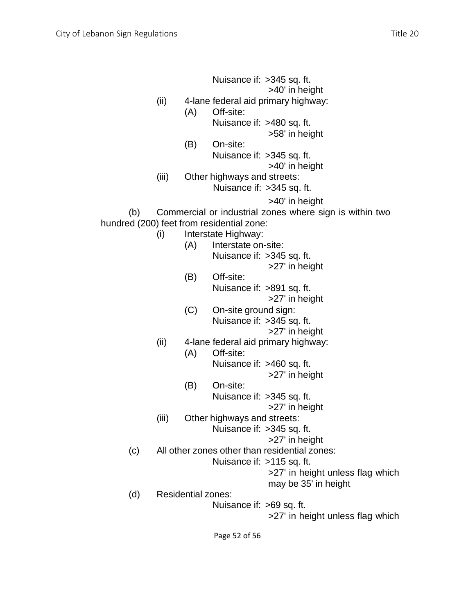Nuisance if: >345 sq. ft. >40' in height (ii) 4-lane federal aid primary highway: (A) Off-site: Nuisance if: >480 sq. ft. >58' in height (B) On-site: Nuisance if: >345 sq. ft. >40' in height (iii) Other highways and streets: Nuisance if: >345 sq. ft. >40' in height (b) Commercial or industrial zones where sign is within two hundred (200) feet from residential zone: (i) Interstate Highway: (A) Interstate on-site: Nuisance if: >345 sq. ft. >27' in height (B) Off-site: Nuisance if: >891 sq. ft. >27' in height (C) On-site ground sign: Nuisance if: >345 sq. ft. >27' in height (ii) 4-lane federal aid primary highway: (A) Off-site: Nuisance if: >460 sq. ft. >27' in height (B) On-site: Nuisance if: >345 sq. ft. >27' in height (iii) Other highways and streets: Nuisance if: >345 sq. ft. >27' in height (c) All other zones other than residential zones: Nuisance if: >115 sq. ft. >27' in height unless flag which may be 35' in height (d) Residential zones: Nuisance if: >69 sq. ft. >27' in height unless flag which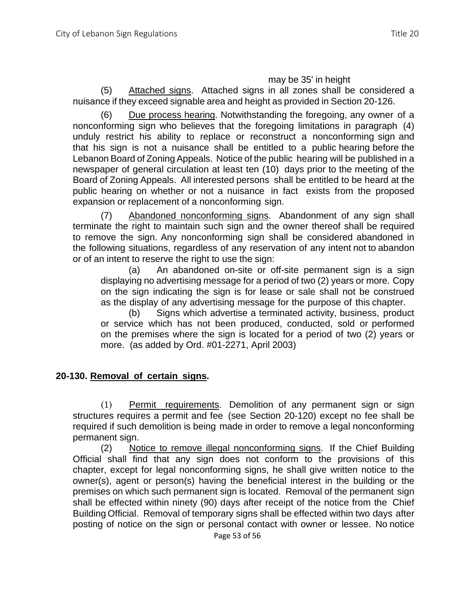#### may be 35' in height

(5) Attached signs. Attached signs in all zones shall be considered a nuisance if they exceed signable area and height as provided in Section 20-126.

(6) Due process hearing. Notwithstanding the foregoing, any owner of a nonconforming sign who believes that the foregoing limitations in paragraph (4) unduly restrict his ability to replace or reconstruct a nonconforming sign and that his sign is not a nuisance shall be entitled to a public hearing before the Lebanon Board of Zoning Appeals. Notice of the public hearing will be published in a newspaper of general circulation at least ten (10) days prior to the meeting of the Board of Zoning Appeals. All interested persons shall be entitled to be heard at the public hearing on whether or not a nuisance in fact exists from the proposed expansion or replacement of a nonconforming sign.

(7) Abandoned nonconforming signs. Abandonment of any sign shall terminate the right to maintain such sign and the owner thereof shall be required to remove the sign. Any nonconforming sign shall be considered abandoned in the following situations, regardless of any reservation of any intent not to abandon or of an intent to reserve the right to use the sign:

(a) An abandoned on-site or off-site permanent sign is a sign displaying no advertising message for a period of two (2) years or more. Copy on the sign indicating the sign is for lease or sale shall not be construed as the display of any advertising message for the purpose of this chapter.

(b) Signs which advertise a terminated activity, business, product or service which has not been produced, conducted, sold or performed on the premises where the sign is located for a period of two (2) years or more. (as added by Ord. #01-2271, April 2003)

### **20-130. Removal of certain signs.**

(1) Permit requirements. Demolition of any permanent sign or sign structures requires a permit and fee (see Section 20-120) except no fee shall be required if such demolition is being made in order to remove a legal nonconforming permanent sign.

(2) Notice to remove illegal nonconforming signs. If the Chief Building Official shall find that any sign does not conform to the provisions of this chapter, except for legal nonconforming signs, he shall give written notice to the owner(s), agent or person(s) having the beneficial interest in the building or the premises on which such permanent sign is located. Removal of the permanent sign shall be effected within ninety (90) days after receipt of the notice from the Chief Building Official. Removal of temporary signs shall be effected within two days after posting of notice on the sign or personal contact with owner or lessee. No notice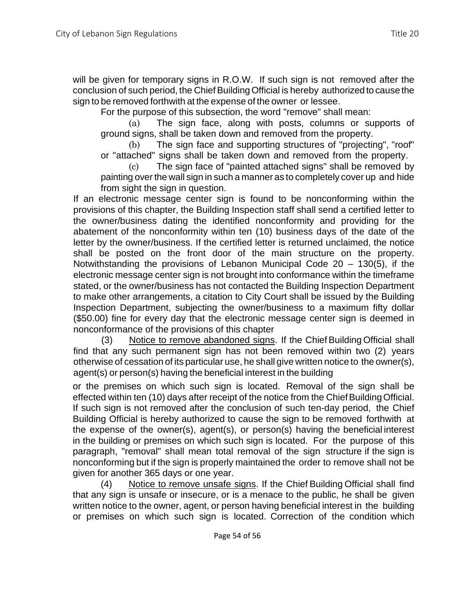will be given for temporary signs in R.O.W. If such sign is not removed after the conclusion of such period, the ChiefBuildingOfficial is hereby authorized to cause the sign to be removed forthwith at the expense of the owner or lessee.

For the purpose of this subsection, the word "remove" shall mean:

(a) The sign face, along with posts, columns or supports of ground signs, shall be taken down and removed from the property.

(b) The sign face and supporting structures of "projecting", "roof" or "attached" signs shall be taken down and removed from the property.

(c) The sign face of "painted attached signs" shall be removed by painting over the wall sign in such a manner as to completely cover up and hide from sight the sign in question.

If an electronic message center sign is found to be nonconforming within the provisions of this chapter, the Building Inspection staff shall send a certified letter to the owner/business dating the identified nonconformity and providing for the abatement of the nonconformity within ten (10) business days of the date of the letter by the owner/business. If the certified letter is returned unclaimed, the notice shall be posted on the front door of the main structure on the property. Notwithstanding the provisions of Lebanon Municipal Code 20 – 130(5), if the electronic message center sign is not brought into conformance within the timeframe stated, or the owner/business has not contacted the Building Inspection Department to make other arrangements, a citation to City Court shall be issued by the Building Inspection Department, subjecting the owner/business to a maximum fifty dollar (\$50.00) fine for every day that the electronic message center sign is deemed in nonconformance of the provisions of this chapter

(3) Notice to remove abandoned signs. If the Chief Building Official shall find that any such permanent sign has not been removed within two (2) years otherwise of cessation of its particular use, he shall give written notice to the owner(s), agent(s) or person(s) having the beneficial interest in the building

or the premises on which such sign is located. Removal of the sign shall be effected within ten (10) days after receipt of the notice from the Chief Building Official. If such sign is not removed after the conclusion of such ten-day period, the Chief Building Official is hereby authorized to cause the sign to be removed forthwith at the expense of the owner(s), agent(s), or person(s) having the beneficial interest in the building or premises on which such sign is located. For the purpose of this paragraph, "removal" shall mean total removal of the sign structure if the sign is nonconforming but if the sign is properly maintained the order to remove shall not be given for another 365 days or one year.

(4) Notice to remove unsafe signs. If the Chief Building Official shall find that any sign is unsafe or insecure, or is a menace to the public, he shall be given written notice to the owner, agent, or person having beneficial interest in the building or premises on which such sign is located. Correction of the condition which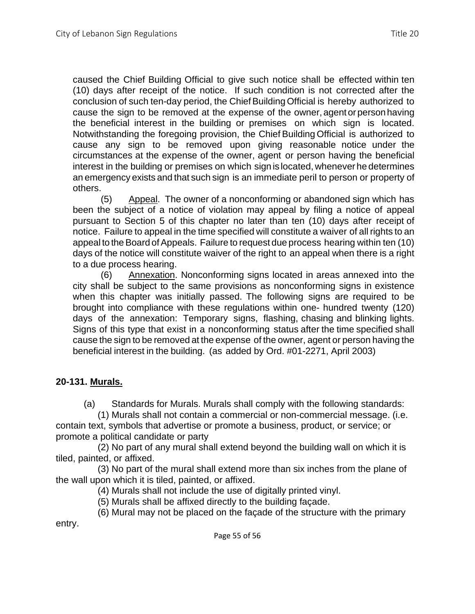caused the Chief Building Official to give such notice shall be effected within ten (10) days after receipt of the notice. If such condition is not corrected after the conclusion of such ten-day period, the Chief Building Official is hereby authorized to cause the sign to be removed at the expense of the owner, agent or person having the beneficial interest in the building or premises on which sign is located. Notwithstanding the foregoing provision, the Chief Building Official is authorized to cause any sign to be removed upon giving reasonable notice under the circumstances at the expense of the owner, agent or person having the beneficial interest in the building or premises on which sign is located, whenever he determines an emergency exists and that such sign is an immediate peril to person or property of others.

(5) Appeal. The owner of a nonconforming or abandoned sign which has been the subject of a notice of violation may appeal by filing a notice of appeal pursuant to Section 5 of this chapter no later than ten (10) days after receipt of notice. Failure to appeal in the time specified will constitute a waiver of all rights to an appeal to the Board of Appeals. Failure to request due process hearing within ten (10) days of the notice will constitute waiver of the right to an appeal when there is a right to a due process hearing.

(6) Annexation. Nonconforming signs located in areas annexed into the city shall be subject to the same provisions as nonconforming signs in existence when this chapter was initially passed. The following signs are required to be brought into compliance with these regulations within one- hundred twenty (120) days of the annexation: Temporary signs, flashing, chasing and blinking lights. Signs of this type that exist in a nonconforming status after the time specified shall cause the sign to be removed at the expense of the owner, agent or person having the beneficial interest in the building. (as added by Ord. #01-2271, April 2003)

## **20-131. Murals.**

(a) Standards for Murals. Murals shall comply with the following standards:

(1) Murals shall not contain a commercial or non-commercial message. (i.e. contain text, symbols that advertise or promote a business, product, or service; or promote a political candidate or party

(2) No part of any mural shall extend beyond the building wall on which it is tiled, painted, or affixed.

(3) No part of the mural shall extend more than six inches from the plane of the wall upon which it is tiled, painted, or affixed.

(4) Murals shall not include the use of digitally printed vinyl.

(5) Murals shall be affixed directly to the building façade.

(6) Mural may not be placed on the façade of the structure with the primary entry.